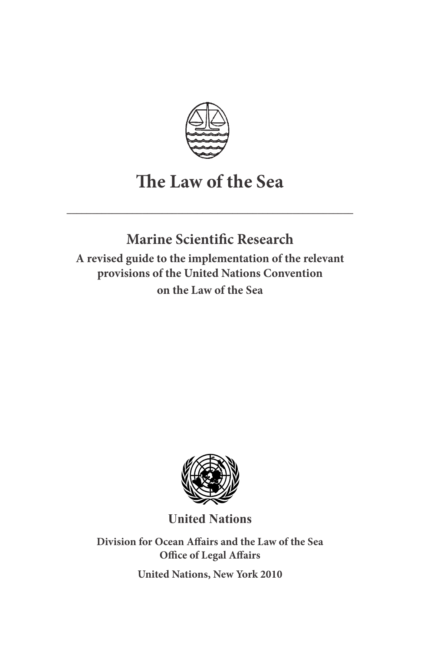

# **The Law of the Sea**

**\_\_\_\_\_\_\_\_\_\_\_\_\_\_\_\_\_\_\_\_\_\_\_\_\_\_\_\_\_\_\_\_\_\_\_\_\_\_\_\_\_\_\_\_\_\_\_\_\_\_\_\_\_\_\_\_\_**

# **Marine Scientific Research A revised guide to the implementation of the relevant provisions of the United Nations Convention on the Law of the Sea**



**United Nations**

**Division for Ocean Affairs and the Law of the Sea Office of Legal Affairs**

**United Nations, New York 2010**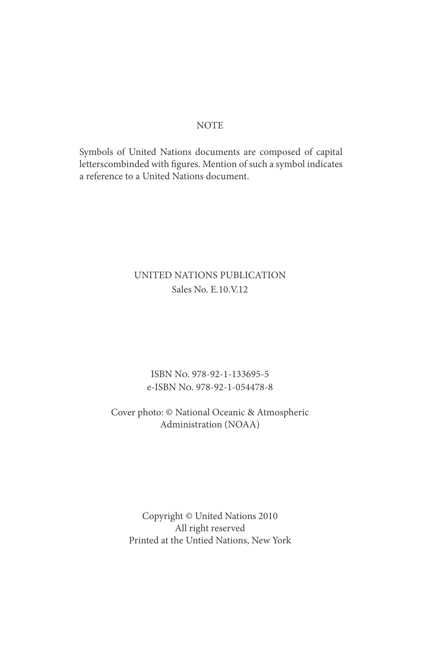#### NOTE

Symbols of United Nations documents are composed of capital letterscombinded with figures. Mention of such a symbol indicates a reference to a United Nations document.

## UNITED NATIONS PUBLICATION Sales No. E.10.V.12

#### ISBN No. 978-92-1-133695-5 e-ISBN No. 978-92-1-054478-8

### Cover photo: © National Oceanic & Atmospheric Administration (NOAA)

Copyright © United Nations 2010 All right reserved Printed at the Untied Nations, New York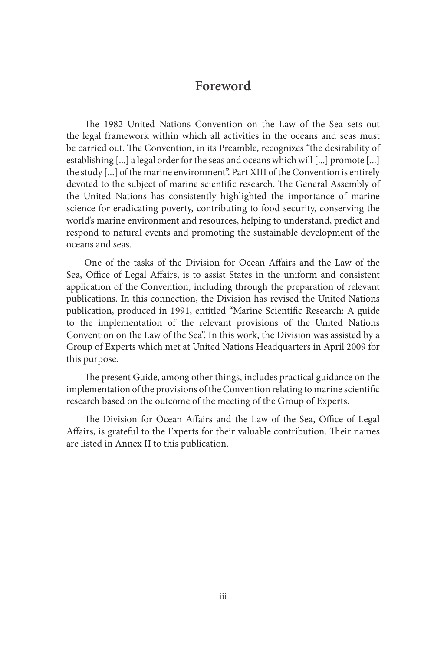## **Foreword**

The 1982 United Nations Convention on the Law of the Sea sets out the legal framework within which all activities in the oceans and seas must be carried out. The Convention, in its Preamble, recognizes "the desirability of establishing [...] a legal order for the seas and oceans which will [...] promote [...] the study [...] of the marine environment". Part XIII of the Convention is entirely devoted to the subject of marine scientific research. The General Assembly of the United Nations has consistently highlighted the importance of marine science for eradicating poverty, contributing to food security, conserving the world's marine environment and resources, helping to understand, predict and respond to natural events and promoting the sustainable development of the oceans and seas.

One of the tasks of the Division for Ocean Affairs and the Law of the Sea, Office of Legal Affairs, is to assist States in the uniform and consistent application of the Convention, including through the preparation of relevant publications. In this connection, the Division has revised the United Nations publication, produced in 1991, entitled "Marine Scientific Research: A guide to the implementation of the relevant provisions of the United Nations Convention on the Law of the Sea". In this work, the Division was assisted by a Group of Experts which met at United Nations Headquarters in April 2009 for this purpose.

The present Guide, among other things, includes practical guidance on the implementation of the provisions of the Convention relating to marine scientific research based on the outcome of the meeting of the Group of Experts.

The Division for Ocean Affairs and the Law of the Sea, Office of Legal Affairs, is grateful to the Experts for their valuable contribution. Their names are listed in Annex II to this publication.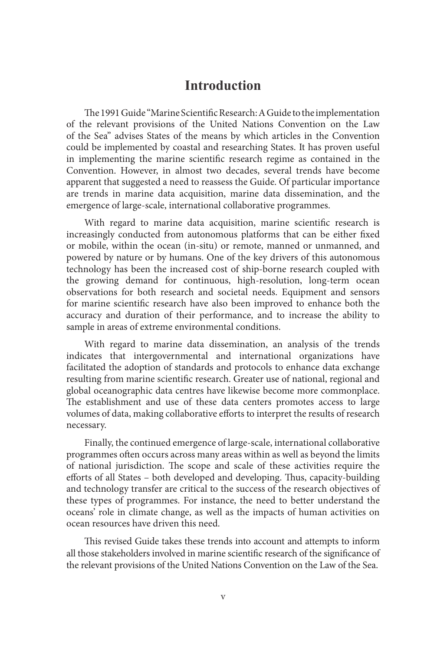## **Introduction**

The 1991 Guide "Marine Scientific Research: A Guide to the implementation of the relevant provisions of the United Nations Convention on the Law of the Sea" advises States of the means by which articles in the Convention could be implemented by coastal and researching States. It has proven useful in implementing the marine scientific research regime as contained in the Convention. However, in almost two decades, several trends have become apparent that suggested a need to reassess the Guide. Of particular importance are trends in marine data acquisition, marine data dissemination, and the emergence of large-scale, international collaborative programmes.

With regard to marine data acquisition, marine scientific research is increasingly conducted from autonomous platforms that can be either fixed or mobile, within the ocean (in-situ) or remote, manned or unmanned, and powered by nature or by humans. One of the key drivers of this autonomous technology has been the increased cost of ship-borne research coupled with the growing demand for continuous, high-resolution, long-term ocean observations for both research and societal needs. Equipment and sensors for marine scientific research have also been improved to enhance both the accuracy and duration of their performance, and to increase the ability to sample in areas of extreme environmental conditions.

With regard to marine data dissemination, an analysis of the trends indicates that intergovernmental and international organizations have facilitated the adoption of standards and protocols to enhance data exchange resulting from marine scientific research. Greater use of national, regional and global oceanographic data centres have likewise become more commonplace. The establishment and use of these data centers promotes access to large volumes of data, making collaborative efforts to interpret the results of research necessary.

Finally, the continued emergence of large-scale, international collaborative programmes often occurs across many areas within as well as beyond the limits of national jurisdiction. The scope and scale of these activities require the efforts of all States – both developed and developing. Thus, capacity-building and technology transfer are critical to the success of the research objectives of these types of programmes. For instance, the need to better understand the oceans' role in climate change, as well as the impacts of human activities on ocean resources have driven this need.

This revised Guide takes these trends into account and attempts to inform all those stakeholders involved in marine scientific research of the significance of the relevant provisions of the United Nations Convention on the Law of the Sea.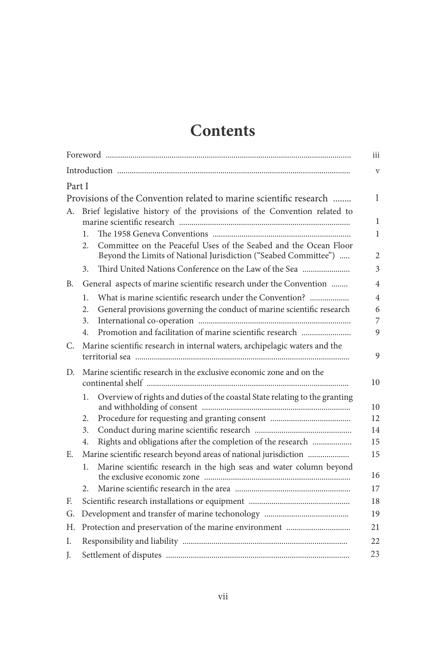# **Contents**

|                                                                    |                                                                                          | iii                     |  |  |  |
|--------------------------------------------------------------------|------------------------------------------------------------------------------------------|-------------------------|--|--|--|
|                                                                    |                                                                                          | $\overline{\mathbf{V}}$ |  |  |  |
| Part I                                                             |                                                                                          |                         |  |  |  |
| Provisions of the Convention related to marine scientific research |                                                                                          |                         |  |  |  |
| А.                                                                 | Brief legislative history of the provisions of the Convention related to                 |                         |  |  |  |
|                                                                    |                                                                                          |                         |  |  |  |
|                                                                    | $\mathbf{1}$ .<br>Committee on the Peaceful Uses of the Seabed and the Ocean Floor<br>2. | $\mathbf{1}$            |  |  |  |
|                                                                    | Beyond the Limits of National Jurisdiction ("Seabed Committee")                          | $\overline{2}$          |  |  |  |
|                                                                    | Third United Nations Conference on the Law of the Sea<br>3.                              | 3                       |  |  |  |
| В.                                                                 | General aspects of marine scientific research under the Convention                       |                         |  |  |  |
|                                                                    | What is marine scientific research under the Convention?<br>1.                           | $\overline{4}$          |  |  |  |
|                                                                    | General provisions governing the conduct of marine scientific research<br>2.             | 6                       |  |  |  |
|                                                                    | 3.                                                                                       | 7<br>9                  |  |  |  |
|                                                                    | 4.                                                                                       |                         |  |  |  |
| C.                                                                 | Marine scientific research in internal waters, archipelagic waters and the               |                         |  |  |  |
| D.                                                                 | Marine scientific research in the exclusive economic zone and on the                     |                         |  |  |  |
|                                                                    | Overview of rights and duties of the coastal State relating to the granting<br>1.        | 10                      |  |  |  |
|                                                                    | 2.                                                                                       | 12                      |  |  |  |
|                                                                    | 3.                                                                                       | 14                      |  |  |  |
|                                                                    | Rights and obligations after the completion of the research<br>4.                        | 15<br>15                |  |  |  |
| Е.                                                                 | Marine scientific research beyond areas of national jurisdiction                         |                         |  |  |  |
|                                                                    | Marine scientific research in the high seas and water column beyond<br>1.                | 16                      |  |  |  |
|                                                                    | 2.5                                                                                      | 17                      |  |  |  |
| F.                                                                 |                                                                                          |                         |  |  |  |
| G.                                                                 |                                                                                          |                         |  |  |  |
| Н.                                                                 |                                                                                          |                         |  |  |  |
| I.                                                                 |                                                                                          |                         |  |  |  |
| J.                                                                 |                                                                                          |                         |  |  |  |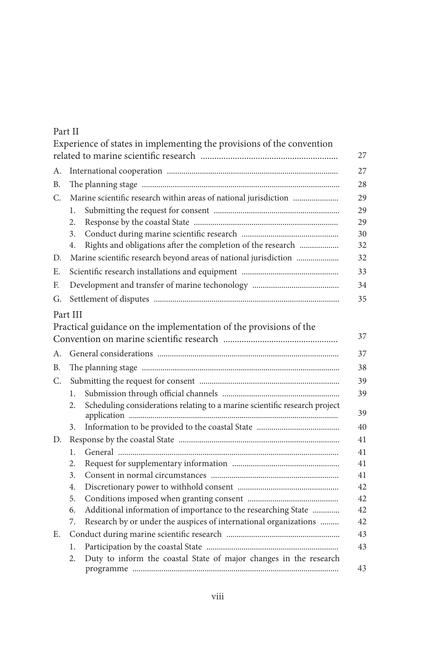## Part II

|    |          | Experience of states in implementing the provisions of the convention      |  |  |  |  |
|----|----------|----------------------------------------------------------------------------|--|--|--|--|
|    |          |                                                                            |  |  |  |  |
| А. |          |                                                                            |  |  |  |  |
| В. |          |                                                                            |  |  |  |  |
| C. |          | Marine scientific research within areas of national jurisdiction           |  |  |  |  |
|    | 1.       |                                                                            |  |  |  |  |
|    | 2.       |                                                                            |  |  |  |  |
|    | 3.       |                                                                            |  |  |  |  |
|    | 4.       | Rights and obligations after the completion of the research                |  |  |  |  |
| D. |          | Marine scientific research beyond areas of national jurisdiction           |  |  |  |  |
| Е. |          |                                                                            |  |  |  |  |
| F. |          |                                                                            |  |  |  |  |
| G. |          |                                                                            |  |  |  |  |
|    | Part III |                                                                            |  |  |  |  |
|    |          | Practical guidance on the implementation of the provisions of the          |  |  |  |  |
|    |          |                                                                            |  |  |  |  |
| А. |          |                                                                            |  |  |  |  |
| В. |          |                                                                            |  |  |  |  |
| C. |          |                                                                            |  |  |  |  |
|    | 1.       |                                                                            |  |  |  |  |
|    | 2.       | Scheduling considerations relating to a marine scientific research project |  |  |  |  |
|    | 3.       |                                                                            |  |  |  |  |
| D. |          |                                                                            |  |  |  |  |
|    | 1.       |                                                                            |  |  |  |  |
|    | 2.       |                                                                            |  |  |  |  |
|    | 3.       |                                                                            |  |  |  |  |
|    | 4.       |                                                                            |  |  |  |  |
|    | 5.       |                                                                            |  |  |  |  |
|    | 6.       | Additional information of importance to the researching State              |  |  |  |  |
|    | 7.       | Research by or under the auspices of international organizations           |  |  |  |  |
| Е. |          |                                                                            |  |  |  |  |
|    | 1.       |                                                                            |  |  |  |  |
|    | 2.       | Duty to inform the coastal State of major changes in the research          |  |  |  |  |
|    |          |                                                                            |  |  |  |  |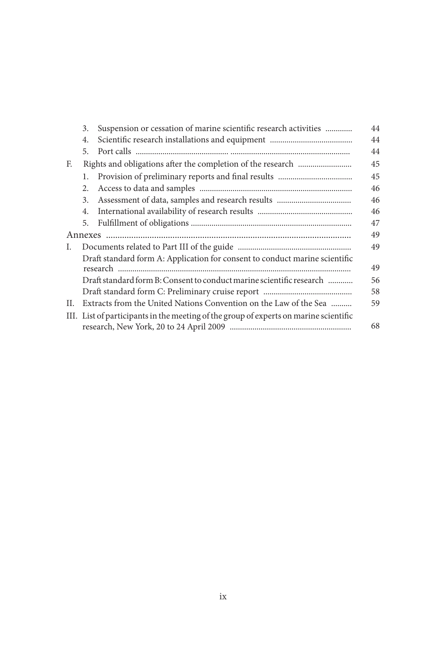|     | 3.                                                                                    | Suspension or cessation of marine scientific research activities     | 44 |  |  |
|-----|---------------------------------------------------------------------------------------|----------------------------------------------------------------------|----|--|--|
|     | 4.                                                                                    |                                                                      | 44 |  |  |
|     | 5.                                                                                    |                                                                      | 44 |  |  |
| F.  |                                                                                       |                                                                      |    |  |  |
|     | 1.                                                                                    |                                                                      | 45 |  |  |
|     | 2.                                                                                    |                                                                      | 46 |  |  |
|     | 3.                                                                                    |                                                                      | 46 |  |  |
|     | 4.                                                                                    |                                                                      | 46 |  |  |
|     | 5.                                                                                    |                                                                      | 47 |  |  |
|     |                                                                                       |                                                                      |    |  |  |
| Ι.  |                                                                                       |                                                                      |    |  |  |
|     | Draft standard form A: Application for consent to conduct marine scientific           |                                                                      |    |  |  |
|     |                                                                                       |                                                                      |    |  |  |
|     |                                                                                       | Draft standard form B: Consent to conduct marine scientific research | 56 |  |  |
|     |                                                                                       |                                                                      | 58 |  |  |
| II. |                                                                                       | Extracts from the United Nations Convention on the Law of the Sea    | 59 |  |  |
|     | III. List of participants in the meeting of the group of experts on marine scientific |                                                                      |    |  |  |
|     |                                                                                       |                                                                      | 68 |  |  |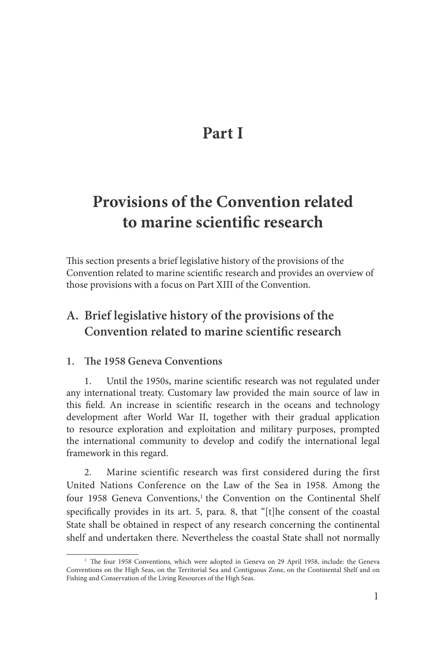# **Part I**

# **Provisions of the Convention related to marine scientific research**

This section presents a brief legislative history of the provisions of the Convention related to marine scientific research and provides an overview of those provisions with a focus on Part XIII of the Convention.

# **A. Brief legislative history of the provisions of the Convention related to marine scientific research**

### **1. The 1958 Geneva Conventions**

1. Until the 1950s, marine scientific research was not regulated under any international treaty. Customary law provided the main source of law in this field. An increase in scientific research in the oceans and technology development after World War II, together with their gradual application to resource exploration and exploitation and military purposes, prompted the international community to develop and codify the international legal framework in this regard.

2. Marine scientific research was first considered during the first United Nations Conference on the Law of the Sea in 1958. Among the four 1958 Geneva Conventions,<sup>1</sup> the Convention on the Continental Shelf specifically provides in its art. 5, para. 8, that "[t]he consent of the coastal State shall be obtained in respect of any research concerning the continental shelf and undertaken there. Nevertheless the coastal State shall not normally

<sup>&</sup>lt;sup>1</sup> The four 1958 Conventions, which were adopted in Geneva on 29 April 1958, include: the Geneva Conventions on the High Seas, on the Territorial Sea and Contiguous Zone, on the Continental Shelf and on Fishing and Conservation of the Living Resources of the High Seas.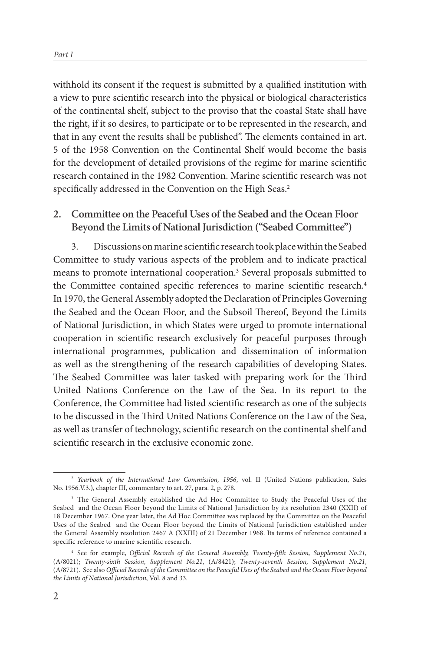withhold its consent if the request is submitted by a qualified institution with a view to pure scientific research into the physical or biological characteristics of the continental shelf, subject to the proviso that the coastal State shall have the right, if it so desires, to participate or to be represented in the research, and that in any event the results shall be published". The elements contained in art. 5 of the 1958 Convention on the Continental Shelf would become the basis for the development of detailed provisions of the regime for marine scientific research contained in the 1982 Convention. Marine scientific research was not specifically addressed in the Convention on the High Seas.<sup>2</sup>

### **2. Committee on the Peaceful Uses of the Seabed and the Ocean Floor Beyond the Limits of NationalJurisdiction ("Seabed Committee")**

3. Discussions on marine scientific research took place within the Seabed Committee to study various aspects of the problem and to indicate practical means to promote international cooperation.3 Several proposals submitted to the Committee contained specific references to marine scientific research.<sup>4</sup> In 1970, the General Assembly adopted the Declaration of Principles Governing the Seabed and the Ocean Floor, and the Subsoil Thereof, Beyond the Limits of National Jurisdiction, in which States were urged to promote international cooperation in scientific research exclusively for peaceful purposes through international programmes, publication and dissemination of information as well as the strengthening of the research capabilities of developing States. The Seabed Committee was later tasked with preparing work for the Third United Nations Conference on the Law of the Sea. In its report to the Conference, the Committee had listed scientific research as one of the subjects to be discussed in the Third United Nations Conference on the Law of the Sea, as well as transfer of technology, scientific research on the continental shelf and scientific research in the exclusive economic zone.

<sup>2</sup> *Yearbook of the International Law Commission, 1956*, vol. II (United Nations publication, Sales No. 1956.V.3.), chapter III, commentary to art. 27, para. 2, p. 278.

<sup>&</sup>lt;sup>3</sup> The General Assembly established the Ad Hoc Committee to Study the Peaceful Uses of the Seabed and the Ocean Floor beyond the Limits of National Jurisdiction by its resolution 2340 (XXII) of 18 December 1967. One year later, the Ad Hoc Committee was replaced by the Committee on the Peaceful Uses of the Seabed and the Ocean Floor beyond the Limits of National Jurisdiction established under the General Assembly resolution 2467 A (XXIII) of 21 December 1968. Its terms of reference contained a specific reference to marine scientific research.

<sup>4</sup> See for example, *Official Records of the General Assembly, Twenty-fifth Session, Supplement No.21*, (A/8021); *Twenty-sixth Session, Supplement No.21*, (A/8421); *Twenty-seventh Session, Supplement No.21*, (A/8721). See also *Official Records of the Committee on the Peaceful Uses of the Seabed and the Ocean Floor beyond the Limits of National Jurisdiction*, Vol. 8 and 33.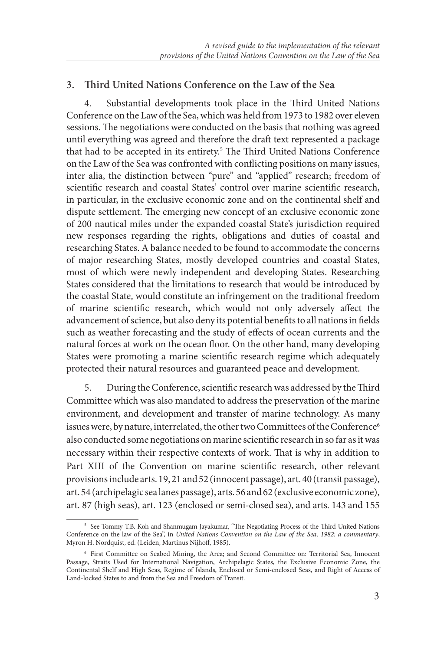## **3. Third United Nations Conference on the Law of the Sea**

4. Substantial developments took place in the Third United Nations Conference on the Law of the Sea, which was held from 1973 to 1982 over eleven sessions. The negotiations were conducted on the basis that nothing was agreed until everything was agreed and therefore the draft text represented a package that had to be accepted in its entirety.<sup>5</sup> The Third United Nations Conference on the Law of the Sea was confronted with conflicting positions on many issues, inter alia, the distinction between "pure" and "applied" research; freedom of scientific research and coastal States' control over marine scientific research, in particular, in the exclusive economic zone and on the continental shelf and dispute settlement. The emerging new concept of an exclusive economic zone of 200 nautical miles under the expanded coastal State's jurisdiction required new responses regarding the rights, obligations and duties of coastal and researching States. A balance needed to be found to accommodate the concerns of major researching States, mostly developed countries and coastal States, most of which were newly independent and developing States. Researching States considered that the limitations to research that would be introduced by the coastal State, would constitute an infringement on the traditional freedom of marine scientific research, which would not only adversely affect the advancement of science, but also deny its potential benefits to all nations in fields such as weather forecasting and the study of effects of ocean currents and the natural forces at work on the ocean floor. On the other hand, many developing States were promoting a marine scientific research regime which adequately protected their natural resources and guaranteed peace and development.

5. During the Conference, scientific research was addressed by the Third Committee which was also mandated to address the preservation of the marine environment, and development and transfer of marine technology. As many issues were, by nature, interrelated, the other two Committees of the Conference<sup>6</sup> also conducted some negotiations on marine scientific research in so far as it was necessary within their respective contexts of work. That is why in addition to Part XIII of the Convention on marine scientific research, other relevant provisions include arts. 19, 21 and 52 (innocent passage), art. 40 (transit passage), art. 54 (archipelagic sea lanes passage), arts. 56 and 62 (exclusive economic zone), art. 87 (high seas), art. 123 (enclosed or semi-closed sea), and arts. 143 and 155

<sup>&</sup>lt;sup>5</sup> See Tommy T.B. Koh and Shanmugam Jayakumar, "The Negotiating Process of the Third United Nations Conference on the law of the Sea", in *United Nations Convention on the Law of the Sea, 1982: a commentary*, Myron H. Nordquist, ed. (Leiden, Martinus Nijhoff, 1985).

<sup>6</sup> First Committee on Seabed Mining, the Area; and Second Committee on: Territorial Sea, Innocent Passage, Straits Used for International Navigation, Archipelagic States, the Exclusive Economic Zone, the Continental Shelf and High Seas, Regime of Islands, Enclosed or Semi-enclosed Seas, and Right of Access of Land-locked States to and from the Sea and Freedom of Transit.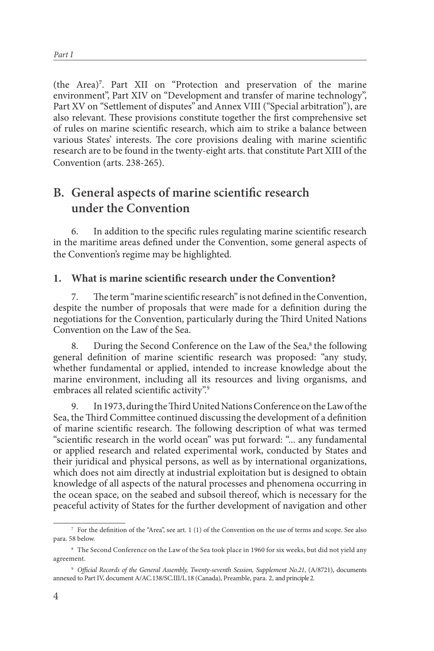(the Area)**<sup>7</sup>** . Part XII on "Protection and preservation of the marine environment", Part XIV on "Development and transfer of marine technology", Part XV on "Settlement of disputes" and Annex VIII ("Special arbitration"), are also relevant. These provisions constitute together the first comprehensive set of rules on marine scientific research, which aim to strike a balance between various States' interests. The core provisions dealing with marine scientific research are to be found in the twenty-eight arts. that constitute Part XIII of the Convention (arts. 238-265).

## **B. General aspects of marine scientific research under the Convention**

6. In addition to the specific rules regulating marine scientific research in the maritime areas defined under the Convention, some general aspects of the Convention's regime may be highlighted.

#### **1. What is marine scientific research under the Convention?**

7. The term "marine scientific research" is not defined in the Convention, despite the number of proposals that were made for a definition during the negotiations for the Convention, particularly during the Third United Nations Convention on the Law of the Sea.

8. During the Second Conference on the Law of the Sea,<sup>8</sup> the following general definition of marine scientific research was proposed: "any study, whether fundamental or applied, intended to increase knowledge about the marine environment, including all its resources and living organisms, and embraces all related scientific activity".9

9. In 1973, during the Third United Nations Conference on the Law of the Sea, the Third Committee continued discussing the development of a definition of marine scientific research. The following description of what was termed "scientific research in the world ocean" was put forward: "... any fundamental or applied research and related experimental work, conducted by States and their juridical and physical persons, as well as by international organizations, which does not aim directly at industrial exploitation but is designed to obtain knowledge of all aspects of the natural processes and phenomena occurring in the ocean space, on the seabed and subsoil thereof, which is necessary for the peaceful activity of States for the further development of navigation and other

<sup>7</sup> For the definition of the "Area", see art. 1 (1) of the Convention on the use of terms and scope. See also para. 58 below.

<sup>&</sup>lt;sup>8</sup> The Second Conference on the Law of the Sea took place in 1960 for six weeks, but did not yield any agreement.

<sup>9</sup> *Official Records of the General Assembly, Twenty-seventh Session, Supplement No.21*, (A/8721), documents annexed to Part IV, document A/AC.138/SC.III/L.18 (Canada), Preamble, para. 2, and principle 2.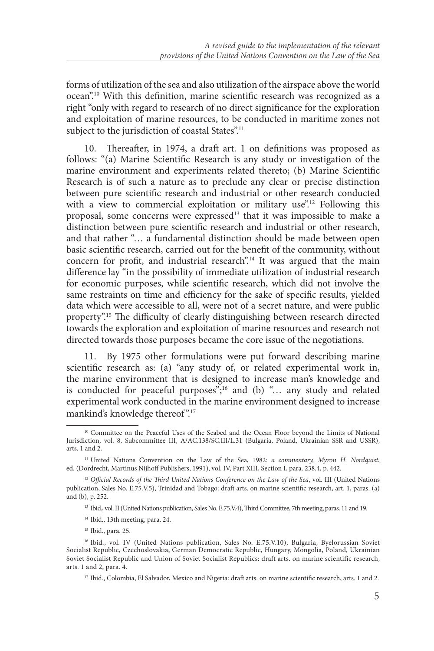forms of utilization of the sea and also utilization of the airspace above the world ocean".10 With this definition, marine scientific research was recognized as a right "only with regard to research of no direct significance for the exploration and exploitation of marine resources, to be conducted in maritime zones not subject to the jurisdiction of coastal States".<sup>11</sup>

10. Thereafter, in 1974, a draft art. 1 on definitions was proposed as follows: "(a) Marine Scientific Research is any study or investigation of the marine environment and experiments related thereto; (b) Marine Scientific Research is of such a nature as to preclude any clear or precise distinction between pure scientific research and industrial or other research conducted with a view to commercial exploitation or military use".<sup>12</sup> Following this proposal, some concerns were expressed<sup>13</sup> that it was impossible to make a distinction between pure scientific research and industrial or other research, and that rather "… a fundamental distinction should be made between open basic scientific research, carried out for the benefit of the community, without concern for profit, and industrial research".<sup>14</sup> It was argued that the main difference lay "in the possibility of immediate utilization of industrial research for economic purposes, while scientific research, which did not involve the same restraints on time and efficiency for the sake of specific results, yielded data which were accessible to all, were not of a secret nature, and were public property".15 The difficulty of clearly distinguishing between research directed towards the exploration and exploitation of marine resources and research not directed towards those purposes became the core issue of the negotiations.

11. By 1975 other formulations were put forward describing marine scientific research as: (a) "any study of, or related experimental work in, the marine environment that is designed to increase man's knowledge and is conducted for peaceful purposes";<sup>16</sup> and (b) "... any study and related experimental work conducted in the marine environment designed to increase mankind's knowledge thereof".<sup>17</sup>

<sup>10</sup> Committee on the Peaceful Uses of the Seabed and the Ocean Floor beyond the Limits of National Jurisdiction, vol. 8, Subcommittee III, A/AC.138/SC.III/L.31 (Bulgaria, Poland, Ukrainian SSR and USSR), arts. 1 and 2.

<sup>11</sup> United Nations Convention on the Law of the Sea, 1982: *a commentary, Myron H. Nordquist*, ed. (Dordrecht, Martinus Nijhoff Publishers, 1991), vol. IV, Part XIII, Section I, para. 238.4, p. 442.

<sup>12</sup> *Official Records of the Third United Nations Conference on the Law of the Sea*, vol. III (United Nations publication, Sales No. E.75.V.5), Trinidad and Tobago: draft arts. on marine scientific research, art. 1, paras. (a) and (b), p. 252.

<sup>13</sup> Ibid., vol. II (United Nations publication, Sales No. E.75.V.4), Third Committee, 7th meeting, paras. 11 and 19.

<sup>14</sup> Ibid., 13th meeting, para. 24.

<sup>15</sup> Ibid., para. 25.

<sup>&</sup>lt;sup>16</sup> Ibid., vol. IV (United Nations publication, Sales No. E.75.V.10), Bulgaria, Byelorussian Soviet Socialist Republic, Czechoslovakia, German Democratic Republic, Hungary, Mongolia, Poland, Ukrainian Soviet Socialist Republic and Union of Soviet Socialist Republics: draft arts. on marine scientific research, arts. 1 and 2, para. 4.

<sup>&</sup>lt;sup>17</sup> Ibid., Colombia, El Salvador, Mexico and Nigeria: draft arts. on marine scientific research, arts. 1 and 2.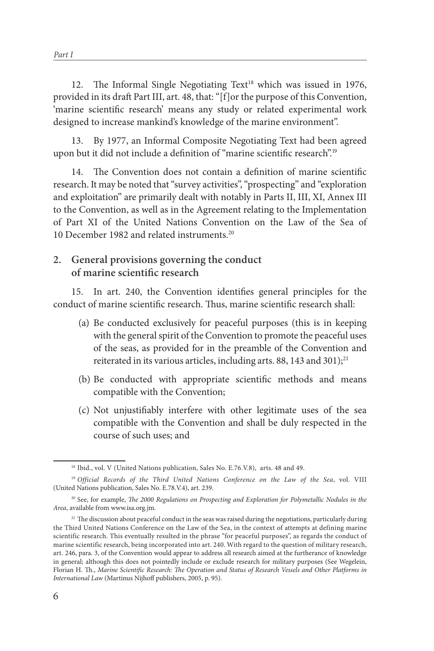12. The Informal Single Negotiating Text<sup>18</sup> which was issued in 1976, provided in its draft Part III, art. 48, that: "[f]or the purpose of this Convention, 'marine scientific research' means any study or related experimental work designed to increase mankind's knowledge of the marine environment".

13. By 1977, an Informal Composite Negotiating Text had been agreed upon but it did not include a definition of "marine scientific research".<sup>19</sup>

14. The Convention does not contain a definition of marine scientific research. It may be noted that "survey activities", "prospecting" and "exploration and exploitation" are primarily dealt with notably in Parts II, III, XI, Annex III to the Convention, as well as in the Agreement relating to the Implementation of Part XI of the United Nations Convention on the Law of the Sea of 10 December 1982 and related instruments.20

### **2. General provisions governing the conduct of marine scientific research**

15. In art. 240, the Convention identifies general principles for the conduct of marine scientific research. Thus, marine scientific research shall:

- (a) Be conducted exclusively for peaceful purposes (this is in keeping with the general spirit of the Convention to promote the peaceful uses of the seas, as provided for in the preamble of the Convention and reiterated in its various articles, including arts. 88, 143 and 301);<sup>21</sup>
- (b) Be conducted with appropriate scientific methods and means compatible with the Convention;
- (c) Not unjustifiably interfere with other legitimate uses of the sea compatible with the Convention and shall be duly respected in the course of such uses; and

<sup>&</sup>lt;sup>18</sup> Ibid., vol. V (United Nations publication, Sales No. E.76.V.8), arts. 48 and 49.

<sup>19</sup> *Official Records of the Third United Nations Conference on the Law of the Sea*, vol. VIII (United Nations publication, Sales No. E.78.V.4), art. 239.

<sup>20</sup> See, for example, *The 2000 Regulations on Prospecting and Exploration for Polymetallic Nodules in the Area*, available from www.isa.org.jm.

<sup>&</sup>lt;sup>21</sup> The discussion about peaceful conduct in the seas was raised during the negotiations, particularly during the Third United Nations Conference on the Law of the Sea, in the context of attempts at defining marine scientific research. This eventually resulted in the phrase "for peaceful purposes", as regards the conduct of marine scientific research, being incorporated into art. 240. With regard to the question of military research, art. 246, para. 3, of the Convention would appear to address all research aimed at the furtherance of knowledge in general; although this does not pointedly include or exclude research for military purposes (See Wegelein, Florian H. Th., *Marine Scientific Research: The Operation and Status of Research Vessels and Other Platforms in International Law* (Martinus Nijhoff publishers, 2005, p. 95).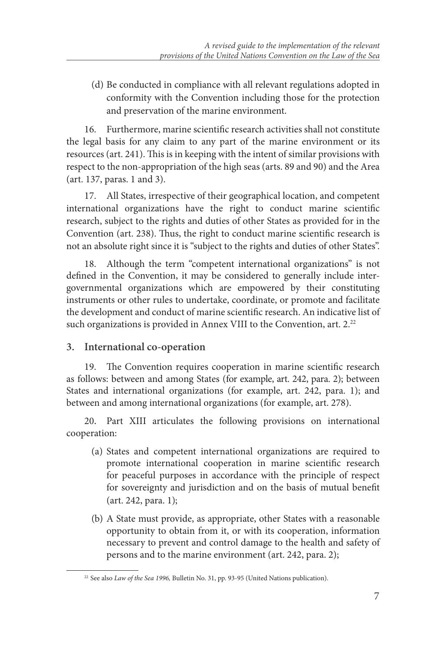(d) Be conducted in compliance with all relevant regulations adopted in conformity with the Convention including those for the protection and preservation of the marine environment.

16. Furthermore, marine scientific research activities shall not constitute the legal basis for any claim to any part of the marine environment or its resources (art. 241). This is in keeping with the intent of similar provisions with respect to the non-appropriation of the high seas (arts. 89 and 90) and the Area (art. 137, paras. 1 and 3).

17. All States, irrespective of their geographical location, and competent international organizations have the right to conduct marine scientific research, subject to the rights and duties of other States as provided for in the Convention (art. 238). Thus, the right to conduct marine scientific research is not an absolute right since it is "subject to the rights and duties of other States".

18. Although the term "competent international organizations" is not defined in the Convention, it may be considered to generally include intergovernmental organizations which are empowered by their constituting instruments or other rules to undertake, coordinate, or promote and facilitate the development and conduct of marine scientific research. An indicative list of such organizations is provided in Annex VIII to the Convention, art. 2.<sup>22</sup>

## **3. International co-operation**

19. The Convention requires cooperation in marine scientific research as follows: between and among States (for example, art. 242, para. 2); between States and international organizations (for example, art. 242, para. 1); and between and among international organizations (for example, art. 278).

20. Part XIII articulates the following provisions on international cooperation:

- (a) States and competent international organizations are required to promote international cooperation in marine scientific research for peaceful purposes in accordance with the principle of respect for sovereignty and jurisdiction and on the basis of mutual benefit (art. 242, para. 1);
- (b) A State must provide, as appropriate, other States with a reasonable opportunity to obtain from it, or with its cooperation, information necessary to prevent and control damage to the health and safety of persons and to the marine environment (art. 242, para. 2);

<sup>22</sup> See also *Law of the Sea 1996,* Bulletin No. 31, pp. 93-95 (United Nations publication).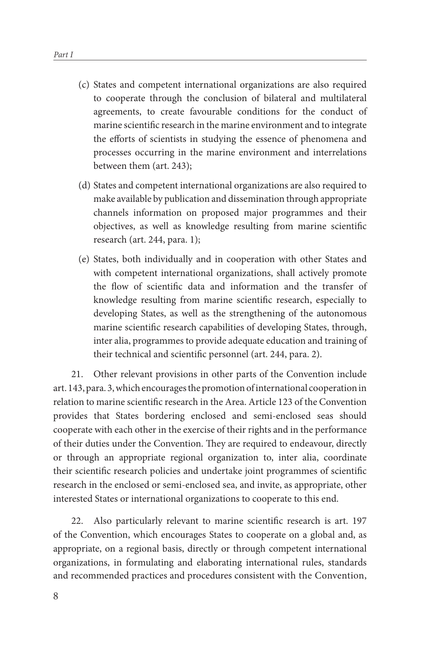- (c) States and competent international organizations are also required to cooperate through the conclusion of bilateral and multilateral agreements, to create favourable conditions for the conduct of marine scientific research in the marine environment and to integrate the efforts of scientists in studying the essence of phenomena and processes occurring in the marine environment and interrelations between them (art. 243);
- (d) States and competent international organizations are also required to make available by publication and dissemination through appropriate channels information on proposed major programmes and their objectives, as well as knowledge resulting from marine scientific research (art. 244, para. 1);
- (e) States, both individually and in cooperation with other States and with competent international organizations, shall actively promote the flow of scientific data and information and the transfer of knowledge resulting from marine scientific research, especially to developing States, as well as the strengthening of the autonomous marine scientific research capabilities of developing States, through, inter alia, programmes to provide adequate education and training of their technical and scientific personnel (art. 244, para. 2).

21. Other relevant provisions in other parts of the Convention include art. 143, para. 3, which encourages the promotion of international cooperation in relation to marine scientific research in the Area. Article 123 of the Convention provides that States bordering enclosed and semi-enclosed seas should cooperate with each other in the exercise of their rights and in the performance of their duties under the Convention. They are required to endeavour, directly or through an appropriate regional organization to, inter alia, coordinate their scientific research policies and undertake joint programmes of scientific research in the enclosed or semi-enclosed sea, and invite, as appropriate, other interested States or international organizations to cooperate to this end.

22. Also particularly relevant to marine scientific research is art. 197 of the Convention, which encourages States to cooperate on a global and, as appropriate, on a regional basis, directly or through competent international organizations, in formulating and elaborating international rules, standards and recommended practices and procedures consistent with the Convention,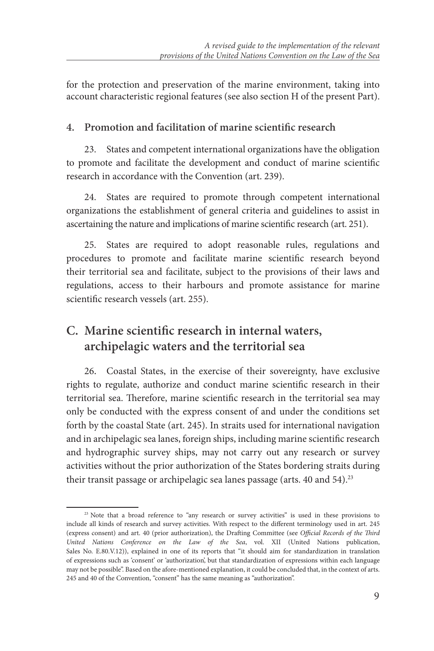for the protection and preservation of the marine environment, taking into account characteristic regional features (see also section H of the present Part).

## **4. Promotion and facilitation of marine scientific research**

23. States and competent international organizations have the obligation to promote and facilitate the development and conduct of marine scientific research in accordance with the Convention (art. 239).

24. States are required to promote through competent international organizations the establishment of general criteria and guidelines to assist in ascertaining the nature and implications of marine scientific research (art. 251).

25. States are required to adopt reasonable rules, regulations and procedures to promote and facilitate marine scientific research beyond their territorial sea and facilitate, subject to the provisions of their laws and regulations, access to their harbours and promote assistance for marine scientific research vessels (art. 255).

# **C. Marine scientific research in internal waters, archipelagic waters and the territorial sea**

26. Coastal States, in the exercise of their sovereignty, have exclusive rights to regulate, authorize and conduct marine scientific research in their territorial sea. Therefore, marine scientific research in the territorial sea may only be conducted with the express consent of and under the conditions set forth by the coastal State (art. 245). In straits used for international navigation and in archipelagic sea lanes, foreign ships, including marine scientific research and hydrographic survey ships, may not carry out any research or survey activities without the prior authorization of the States bordering straits during their transit passage or archipelagic sea lanes passage (arts. 40 and 54).<sup>23</sup>

<sup>&</sup>lt;sup>23</sup> Note that a broad reference to "any research or survey activities" is used in these provisions to include all kinds of research and survey activities. With respect to the different terminology used in art. 245 (express consent) and art. 40 (prior authorization), the Drafting Committee (see *Official Records of the Third United Nations Conference on the Law of the Sea*, vol. XII (United Nations publication, Sales No. E.80.V.12)), explained in one of its reports that "it should aim for standardization in translation of expressions such as 'consent' or 'authorization', but that standardization of expressions within each language may not be possible". Based on the afore-mentioned explanation, it could be concluded that, in the context of arts. 245 and 40 of the Convention, "consent" has the same meaning as "authorization".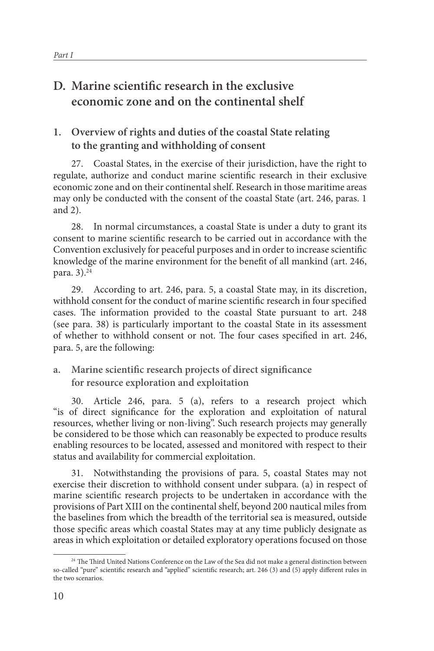# **D. Marine scientific research in the exclusive economic zone and on the continental shelf**

## **1. Overview of rights and duties of the coastal State relating to the granting and withholding of consent**

27. Coastal States, in the exercise of their jurisdiction, have the right to regulate, authorize and conduct marine scientific research in their exclusive economic zone and on their continental shelf. Research in those maritime areas may only be conducted with the consent of the coastal State (art. 246, paras. 1 and 2).

28. In normal circumstances, a coastal State is under a duty to grant its consent to marine scientific research to be carried out in accordance with the Convention exclusively for peaceful purposes and in order to increase scientific knowledge of the marine environment for the benefit of all mankind (art. 246, para.  $3$ ).<sup>24</sup>

29. According to art. 246, para. 5, a coastal State may, in its discretion, withhold consent for the conduct of marine scientific research in four specified cases. The information provided to the coastal State pursuant to art. 248 (see para. 38) is particularly important to the coastal State in its assessment of whether to withhold consent or not. The four cases specified in art. 246, para. 5, are the following:

**a. Marine scientific research projects of direct significance for resource exploration and exploitation**

30. Article 246, para. 5 (a), refers to a research project which "is of direct significance for the exploration and exploitation of natural resources, whether living or non-living". Such research projects may generally be considered to be those which can reasonably be expected to produce results enabling resources to be located, assessed and monitored with respect to their status and availability for commercial exploitation.

31. Notwithstanding the provisions of para. 5, coastal States may not exercise their discretion to withhold consent under subpara. (a) in respect of marine scientific research projects to be undertaken in accordance with the provisions of Part XIII on the continental shelf, beyond 200 nautical miles from the baselines from which the breadth of the territorial sea is measured, outside those specific areas which coastal States may at any time publicly designate as areas in which exploitation or detailed exploratory operations focused on those

<sup>&</sup>lt;sup>24</sup> The Third United Nations Conference on the Law of the Sea did not make a general distinction between so-called "pure" scientific research and "applied" scientific research; art. 246 (3) and (5) apply different rules in the two scenarios.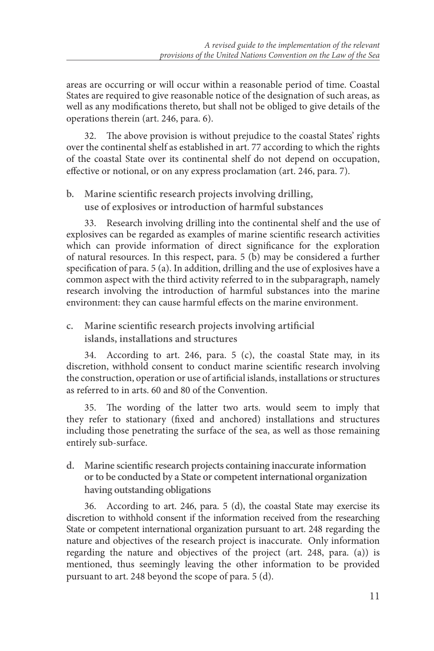areas are occurring or will occur within a reasonable period of time. Coastal States are required to give reasonable notice of the designation of such areas, as well as any modifications thereto, but shall not be obliged to give details of the operations therein (art. 246, para. 6).

32. The above provision is without prejudice to the coastal States' rights over the continental shelf as established in art. 77 according to which the rights of the coastal State over its continental shelf do not depend on occupation, effective or notional, or on any express proclamation (art. 246, para. 7).

**b. Marine scientific research projects involving drilling, use of explosives or introduction of harmful substances**

33. Research involving drilling into the continental shelf and the use of explosives can be regarded as examples of marine scientific research activities which can provide information of direct significance for the exploration of natural resources. In this respect, para. 5 (b) may be considered a further specification of para. 5 (a). In addition, drilling and the use of explosives have a common aspect with the third activity referred to in the subparagraph, namely research involving the introduction of harmful substances into the marine environment: they can cause harmful effects on the marine environment.

**c. Marine scientific research projects involving artificial islands, installations and structures**

34. According to art. 246, para. 5 (c), the coastal State may, in its discretion, withhold consent to conduct marine scientific research involving the construction, operation or use of artificial islands, installations or structures as referred to in arts. 60 and 80 of the Convention.

35. The wording of the latter two arts. would seem to imply that they refer to stationary (fixed and anchored) installations and structures including those penetrating the surface of the sea, as well as those remaining entirely sub-surface.

**d. Marine scientific research projects containing inaccurate information orto be conducted by a State or competent international organization having outstanding obligations**

36. According to art. 246, para. 5 (d), the coastal State may exercise its discretion to withhold consent if the information received from the researching State or competent international organization pursuant to art. 248 regarding the nature and objectives of the research project is inaccurate. Only information regarding the nature and objectives of the project (art. 248, para. (a)) is mentioned, thus seemingly leaving the other information to be provided pursuant to art. 248 beyond the scope of para. 5 (d).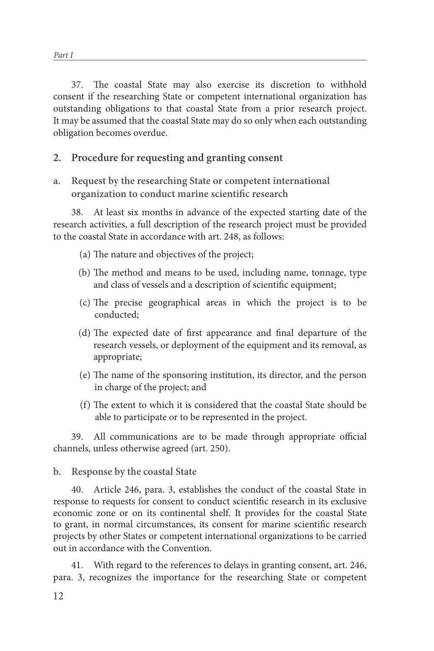37. The coastal State may also exercise its discretion to withhold consent if the researching State or competent international organization has outstanding obligations to that coastal State from a prior research project. It may be assumed that the coastal State may do so only when each outstanding obligation becomes overdue.

#### **2. Procedure for requesting and granting consent**

**a. Request by the researching State or competent international organization to conduct marine scientific research**

38. At least six months in advance of the expected starting date of the research activities, a full description of the research project must be provided to the coastal State in accordance with art. 248, as follows:

- (a) The nature and objectives of the project;
- (b) The method and means to be used, including name, tonnage, type and class of vessels and a description of scientific equipment;
- (c) The precise geographical areas in which the project is to be conducted;
- (d) The expected date of first appearance and final departure of the research vessels, or deployment of the equipment and its removal, as appropriate;
- (e) The name of the sponsoring institution, its director, and the person in charge of the project; and
- (f) The extent to which it is considered that the coastal State should be able to participate or to be represented in the project.

39. All communications are to be made through appropriate official channels, unless otherwise agreed (art. 250).

**b. Response by the coastal State**

40. Article 246, para. 3, establishes the conduct of the coastal State in response to requests for consent to conduct scientific research in its exclusive economic zone or on its continental shelf. It provides for the coastal State to grant, in normal circumstances, its consent for marine scientific research projects by other States or competent international organizations to be carried out in accordance with the Convention.

41. With regard to the references to delays in granting consent, art. 246, para. 3, recognizes the importance for the researching State or competent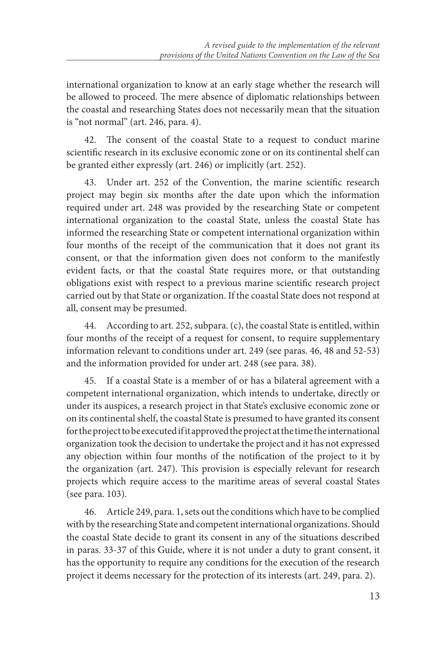international organization to know at an early stage whether the research will be allowed to proceed. The mere absence of diplomatic relationships between the coastal and researching States does not necessarily mean that the situation is "not normal" (art. 246, para. 4).

42. The consent of the coastal State to a request to conduct marine scientific research in its exclusive economic zone or on its continental shelf can be granted either expressly (art. 246) or implicitly (art. 252).

43. Under art. 252 of the Convention, the marine scientific research project may begin six months after the date upon which the information required under art. 248 was provided by the researching State or competent international organization to the coastal State, unless the coastal State has informed the researching State or competent international organization within four months of the receipt of the communication that it does not grant its consent, or that the information given does not conform to the manifestly evident facts, or that the coastal State requires more, or that outstanding obligations exist with respect to a previous marine scientific research project carried out by that State or organization. If the coastal State does not respond at all, consent may be presumed.

44. According to art. 252, subpara. (c), the coastal State is entitled, within four months of the receipt of a request for consent, to require supplementary information relevant to conditions under art. 249 (see paras. 46, 48 and 52-53) and the information provided for under art. 248 (see para. 38).

45. If a coastal State is a member of or has a bilateral agreement with a competent international organization, which intends to undertake, directly or under its auspices, a research project in that State's exclusive economic zone or on its continental shelf, the coastal State is presumed to have granted its consent for the project to be executed if it approved the project at the time the international organization took the decision to undertake the project and it has not expressed any objection within four months of the notification of the project to it by the organization (art. 247). This provision is especially relevant for research projects which require access to the maritime areas of several coastal States (see para. 103).

46. Article 249, para. 1, sets out the conditions which have to be complied with by the researching State and competent international organizations. Should the coastal State decide to grant its consent in any of the situations described in paras. 33-37 of this Guide, where it is not under a duty to grant consent, it has the opportunity to require any conditions for the execution of the research project it deems necessary for the protection of its interests (art. 249, para. 2).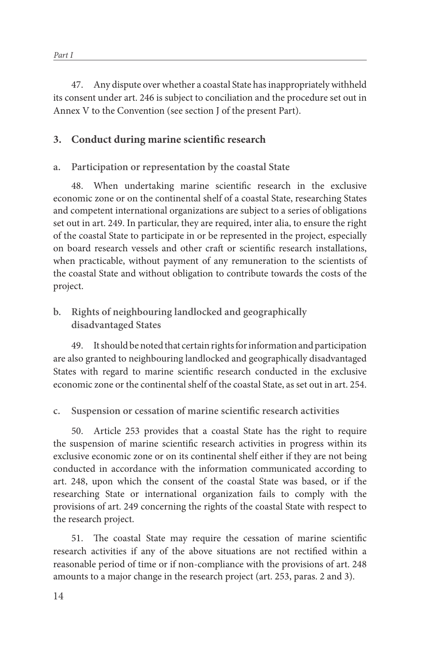47. Any dispute over whether a coastal State has inappropriately withheld its consent under art. 246 is subject to conciliation and the procedure set out in Annex V to the Convention (see section J of the present Part).

### **3. Conduct during marine scientific research**

**a. Participation or representation by the coastal State**

48. When undertaking marine scientific research in the exclusive economic zone or on the continental shelf of a coastal State, researching States and competent international organizations are subject to a series of obligations set out in art. 249. In particular, they are required, inter alia, to ensure the right of the coastal State to participate in or be represented in the project, especially on board research vessels and other craft or scientific research installations, when practicable, without payment of any remuneration to the scientists of the coastal State and without obligation to contribute towards the costs of the project.

**b. Rights of neighbouring landlocked and geographically disadvantaged States**

49. It should be noted that certain rights for information and participation are also granted to neighbouring landlocked and geographically disadvantaged States with regard to marine scientific research conducted in the exclusive economic zone or the continental shelf of the coastal State, as set out in art. 254.

#### **c. Suspension or cessation of marine scientific research activities**

50. Article 253 provides that a coastal State has the right to require the suspension of marine scientific research activities in progress within its exclusive economic zone or on its continental shelf either if they are not being conducted in accordance with the information communicated according to art. 248, upon which the consent of the coastal State was based, or if the researching State or international organization fails to comply with the provisions of art. 249 concerning the rights of the coastal State with respect to the research project.

51. The coastal State may require the cessation of marine scientific research activities if any of the above situations are not rectified within a reasonable period of time or if non-compliance with the provisions of art. 248 amounts to a major change in the research project (art. 253, paras. 2 and 3).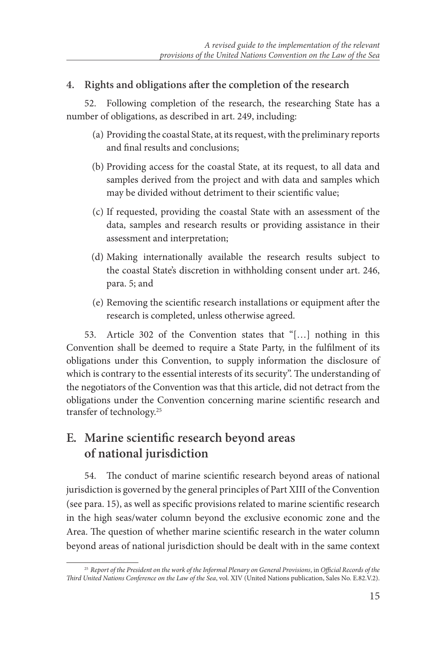### **4. Rights and obligations after the completion of the research**

52. Following completion of the research, the researching State has a number of obligations, as described in art. 249, including:

- (a) Providing the coastal State, at its request, with the preliminary reports and final results and conclusions;
- (b) Providing access for the coastal State, at its request, to all data and samples derived from the project and with data and samples which may be divided without detriment to their scientific value;
- (c) If requested, providing the coastal State with an assessment of the data, samples and research results or providing assistance in their assessment and interpretation;
- (d) Making internationally available the research results subject to the coastal State's discretion in withholding consent under art. 246, para. 5; and
- (e) Removing the scientific research installations or equipment after the research is completed, unless otherwise agreed.

53. Article 302 of the Convention states that "[…] nothing in this Convention shall be deemed to require a State Party, in the fulfilment of its obligations under this Convention, to supply information the disclosure of which is contrary to the essential interests of its security". The understanding of the negotiators of the Convention was that this article, did not detract from the obligations under the Convention concerning marine scientific research and transfer of technology.25

# **E. Marine scientific research beyond areas of national jurisdiction**

54. The conduct of marine scientific research beyond areas of national jurisdiction is governed by the general principles of Part XIII of the Convention (see para. 15), as well as specific provisions related to marine scientific research in the high seas/water column beyond the exclusive economic zone and the Area. The question of whether marine scientific research in the water column beyond areas of national jurisdiction should be dealt with in the same context

<sup>25</sup> *Report of the President on the work of the Informal Plenary on General Provisions*, in *Official Records of the Third United Nations Conference on the Law of the Sea*, vol. XIV (United Nations publication, Sales No. E.82.V.2).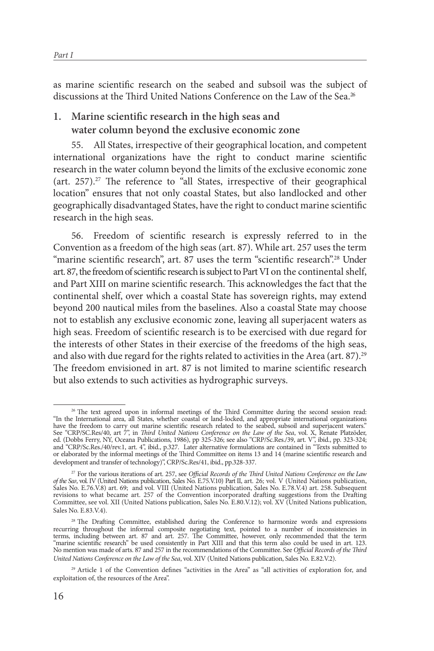as marine scientific research on the seabed and subsoil was the subject of discussions at the Third United Nations Conference on the Law of the Sea.<sup>26</sup>

### **1. Marine scientific research in the high seas and water column beyond the exclusive economic zone**

55. All States, irrespective of their geographical location, and competent international organizations have the right to conduct marine scientific research in the water column beyond the limits of the exclusive economic zone (art.  $257$ ).<sup>27</sup> The reference to "all States, irrespective of their geographical location" ensures that not only coastal States, but also landlocked and other geographically disadvantaged States, have the right to conduct marine scientific research in the high seas.

56. Freedom of scientific research is expressly referred to in the Convention as a freedom of the high seas (art. 87). While art. 257 uses the term "marine scientific research", art. 87 uses the term "scientific research".<sup>28</sup> Under art. 87, the freedom of scientific research is subject to Part VI on the continental shelf, and Part XIII on marine scientific research. This acknowledges the fact that the continental shelf, over which a coastal State has sovereign rights, may extend beyond 200 nautical miles from the baselines. Also a coastal State may choose not to establish any exclusive economic zone, leaving all superjacent waters as high seas. Freedom of scientific research is to be exercised with due regard for the interests of other States in their exercise of the freedoms of the high seas, and also with due regard for the rights related to activities in the Area (art. 87).<sup>29</sup> The freedom envisioned in art. 87 is not limited to marine scientific research but also extends to such activities as hydrographic surveys.

<sup>&</sup>lt;sup>26</sup> The text agreed upon in informal meetings of the Third Committee during the second session read:<br>
"In the International area, all States, whether coastal or land-locked, and appropriate international organizations<br>
h development and transfer of technology)", CRP/Sc.Res/41, ibid., pp.328-337.

<sup>&</sup>lt;sup>27</sup> For the various iterations of art. 257, see Official Records of the Third United Nations Conference on the Law of the Sea, vol. IV (United Nations publication, Sales No. E.75.V.10) Part II, art. 26; vol. V (United Nat Sales No. E.76.V.8) art. 69; and vol. VIII (United Nations publication, Sales No. E.78.V.4) art. 258. Subsequent revisions to what became art. 257 of the Convention incorporated drafting suggestions from the Drafting Committee, see vol. XII (United Nations publication, Sales No. E.80.V.12); vol. XV (United Nations publication, Sales No. E.83.V.4).

<sup>&</sup>lt;sup>28</sup> The Drafting Committee, established during the Conference to harmonize words and expressions<br>recurring throughout the informal composite negotiating text, pointed to a number of inconsistencies in<br>terms, including bet "marine scientific research" be used consistently in Part XIII and that this term also could be used in art. 123.<br>No mention was made of arts. 87 and 257 in the recommendations of the Committee. See Official Records of the *United Nations Conference on the Law of the Sea*, vol. XIV (United Nations publication, Sales No. E.82.V.2).

<sup>29</sup> Article 1 of the Convention defines "activities in the Area" as "all activities of exploration for, and exploitation of, the resources of the Area".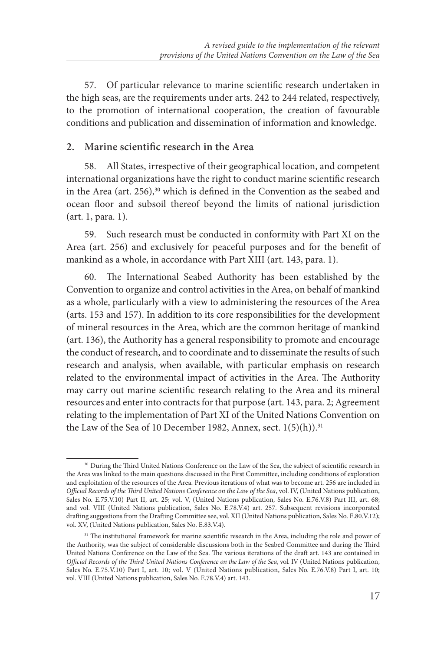57. Of particular relevance to marine scientific research undertaken in the high seas, are the requirements under arts. 242 to 244 related, respectively, to the promotion of international cooperation, the creation of favourable conditions and publication and dissemination of information and knowledge.

#### **2. Marine scientific research in the Area**

58. All States, irrespective of their geographical location, and competent international organizations have the right to conduct marine scientific research in the Area (art.  $256$ ),<sup>30</sup> which is defined in the Convention as the seabed and ocean floor and subsoil thereof beyond the limits of national jurisdiction (art. 1, para. 1).

59. Such research must be conducted in conformity with Part XI on the Area (art. 256) and exclusively for peaceful purposes and for the benefit of mankind as a whole, in accordance with Part XIII (art. 143, para. 1).

60. The International Seabed Authority has been established by the Convention to organize and control activities in the Area, on behalf of mankind as a whole, particularly with a view to administering the resources of the Area (arts. 153 and 157). In addition to its core responsibilities for the development of mineral resources in the Area, which are the common heritage of mankind (art. 136), the Authority has a general responsibility to promote and encourage the conduct of research, and to coordinate and to disseminate the results of such research and analysis, when available, with particular emphasis on research related to the environmental impact of activities in the Area. The Authority may carry out marine scientific research relating to the Area and its mineral resources and enter into contracts for that purpose (art. 143, para. 2; Agreement relating to the implementation of Part XI of the United Nations Convention on the Law of the Sea of 10 December 1982, Annex, sect.  $1(5)(h)$ .<sup>31</sup>

<sup>30</sup> During the Third United Nations Conference on the Law of the Sea, the subject of scientific research in the Area was linked to the main questions discussed in the First Committee, including conditions of exploration and exploitation of the resources of the Area. Previous iterations of what was to become art. 256 are included in *Official Records of the Third United Nations Conference on the Law of the Sea*, vol. IV, (United Nations publication, Sales No. E.75.V.10) Part II, art. 25; vol. V, (United Nations publication, Sales No. E.76.V.8) Part III, art. 68; and vol. VIII (United Nations publication, Sales No. E.78.V.4) art. 257. Subsequent revisions incorporated drafting suggestions from the Drafting Committee see, vol. XII (United Nations publication, Sales No. E.80.V.12); vol. XV, (United Nations publication, Sales No. E.83.V.4).

<sup>&</sup>lt;sup>31</sup> The institutional framework for marine scientific research in the Area, including the role and power of the Authority, was the subject of considerable discussions both in the Seabed Committee and during the Third United Nations Conference on the Law of the Sea. The various iterations of the draft art. 143 are contained in *Official Records of the Third United Nations Conference on the Law of the Sea*, vol. IV (United Nations publication, Sales No. E.75.V.10) Part I, art. 10; vol. V (United Nations publication, Sales No. E.76.V.8) Part I, art. 10; vol. VIII (United Nations publication, Sales No. E.78.V.4) art. 143.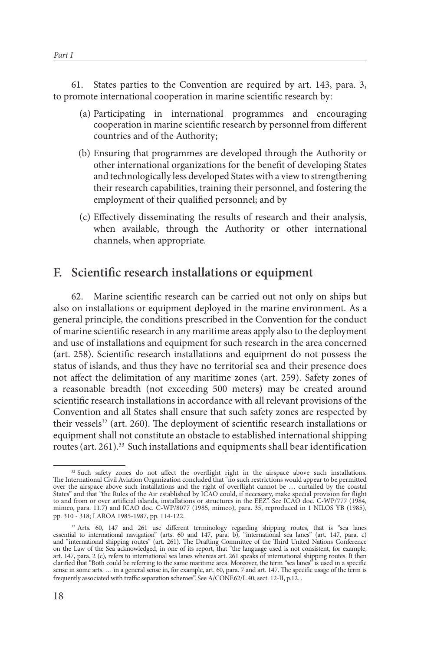61. States parties to the Convention are required by art. 143, para. 3, to promote international cooperation in marine scientific research by:

- (a) Participating in international programmes and encouraging cooperation in marine scientific research by personnel from different countries and of the Authority;
- (b) Ensuring that programmes are developed through the Authority or other international organizations for the benefit of developing States and technologically less developed States with a view to strengthening their research capabilities, training their personnel, and fostering the employment of their qualified personnel; and by
- (c) Effectively disseminating the results of research and their analysis, when available, through the Authority or other international channels, when appropriate.

## **F. Scientific research installations or equipment**

62. Marine scientific research can be carried out not only on ships but also on installations or equipment deployed in the marine environment. As a general principle, the conditions prescribed in the Convention for the conduct of marine scientific research in any maritime areas apply also to the deployment and use of installations and equipment for such research in the area concerned (art. 258). Scientific research installations and equipment do not possess the status of islands, and thus they have no territorial sea and their presence does not affect the delimitation of any maritime zones (art. 259). Safety zones of a reasonable breadth (not exceeding 500 meters) may be created around scientific research installations in accordance with all relevant provisions of the Convention and all States shall ensure that such safety zones are respected by their vessels<sup>32</sup> (art. 260). The deployment of scientific research installations or equipment shall not constitute an obstacle to established international shipping routes (art. 261).<sup>33</sup> Such installations and equipments shall bear identification

<sup>&</sup>lt;sup>32</sup> Such safety zones do not affect the overflight right in the airspace above such installations. The International Civil Aviation Organization concluded that "no such restrictions would appear to be permitted over the airspace above such installations and the right of overflight cannot be … curtailed by the coastal States" and that "the Rules of the Air established by ICAO could, if necessary, make special provision for flight to and from or over artificial islands, installations or structures in the EEZ". See ICAO doc. C-WP/777 (1984, mimeo, para. 11.7) and ICAO doc. C-WP/8077 (1985, mimeo), para. 35, reproduced in 1 NILOS YB (1985), pp. 310 - 318; I AROA 1985-1987, pp. 114-122.

<sup>&</sup>lt;sup>33</sup> Arts. 60, 147 and 261 use different terminology regarding shipping routes, that is "sea lanes essential to international navigation" (arts. 60 and 147, para. b), "international sea lanes" (art. 147, para. c)<br>and "international shipping routes" (art. 261). The Drafting Committee of the Third United Nations Conferenc art. 147, para. 2 (c), refers to international sea lanes whereas art. 261 speaks of international shipping routes. It then<br>clarified that "Both could be referring to the same maritime area. Moreover, the term "sea lanes" i frequently associated with traffic separation schemes". See A/CONF.62/L.40, sect. 12-II, p.12. .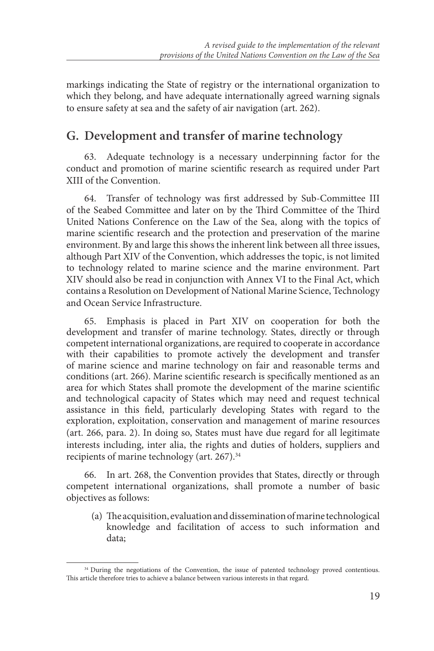markings indicating the State of registry or the international organization to which they belong, and have adequate internationally agreed warning signals to ensure safety at sea and the safety of air navigation (art. 262).

## **G. Development and transfer of marine technology**

63. Adequate technology is a necessary underpinning factor for the conduct and promotion of marine scientific research as required under Part XIII of the Convention.

64. Transfer of technology was first addressed by Sub-Committee III of the Seabed Committee and later on by the Third Committee of the Third United Nations Conference on the Law of the Sea, along with the topics of marine scientific research and the protection and preservation of the marine environment. By and large this shows the inherent link between all three issues, although Part XIV of the Convention, which addresses the topic, is not limited to technology related to marine science and the marine environment. Part XIV should also be read in conjunction with Annex VI to the Final Act, which contains a Resolution on Development of National Marine Science, Technology and Ocean Service Infrastructure.

65. Emphasis is placed in Part XIV on cooperation for both the development and transfer of marine technology. States, directly or through competent international organizations, are required to cooperate in accordance with their capabilities to promote actively the development and transfer of marine science and marine technology on fair and reasonable terms and conditions (art. 266). Marine scientific research is specifically mentioned as an area for which States shall promote the development of the marine scientific and technological capacity of States which may need and request technical assistance in this field, particularly developing States with regard to the exploration, exploitation, conservation and management of marine resources (art. 266, para. 2). In doing so, States must have due regard for all legitimate interests including, inter alia, the rights and duties of holders, suppliers and recipients of marine technology (art. 267).<sup>34</sup>

66. In art. 268, the Convention provides that States, directly or through competent international organizations, shall promote a number of basic objectives as follows:

(a) The acquisition, evaluation and dissemination of marine technological knowledge and facilitation of access to such information and data;

<sup>&</sup>lt;sup>34</sup> During the negotiations of the Convention, the issue of patented technology proved contentious. This article therefore tries to achieve a balance between various interests in that regard.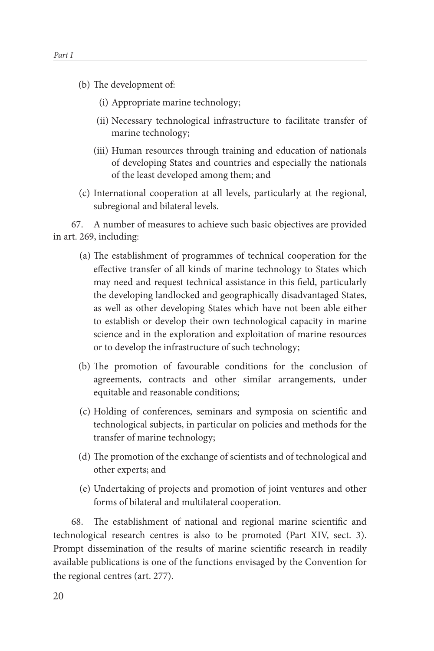- (b) The development of:
	- (i) Appropriate marine technology;
	- (ii) Necessary technological infrastructure to facilitate transfer of marine technology;
	- (iii) Human resources through training and education of nationals of developing States and countries and especially the nationals of the least developed among them; and
- (c) International cooperation at all levels, particularly at the regional, subregional and bilateral levels.

67. A number of measures to achieve such basic objectives are provided in art. 269, including:

- (a) The establishment of programmes of technical cooperation for the effective transfer of all kinds of marine technology to States which may need and request technical assistance in this field, particularly the developing landlocked and geographically disadvantaged States, as well as other developing States which have not been able either to establish or develop their own technological capacity in marine science and in the exploration and exploitation of marine resources or to develop the infrastructure of such technology;
- (b) The promotion of favourable conditions for the conclusion of agreements, contracts and other similar arrangements, under equitable and reasonable conditions;
- (c) Holding of conferences, seminars and symposia on scientific and technological subjects, in particular on policies and methods for the transfer of marine technology;
- (d) The promotion of the exchange of scientists and of technological and other experts; and
- (e) Undertaking of projects and promotion of joint ventures and other forms of bilateral and multilateral cooperation.

68. The establishment of national and regional marine scientific and technological research centres is also to be promoted (Part XIV, sect. 3). Prompt dissemination of the results of marine scientific research in readily available publications is one of the functions envisaged by the Convention for the regional centres (art. 277).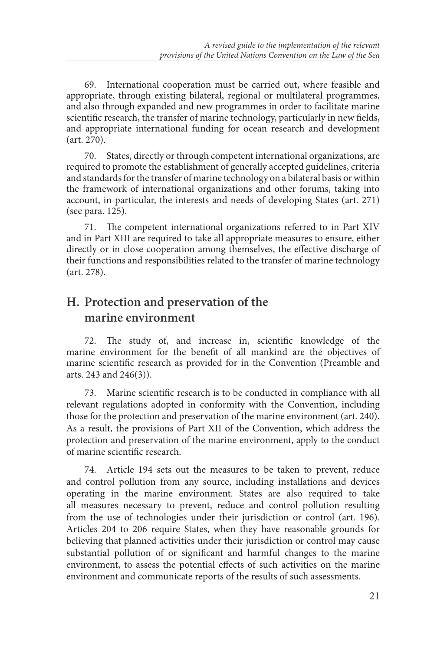69. International cooperation must be carried out, where feasible and appropriate, through existing bilateral, regional or multilateral programmes, and also through expanded and new programmes in order to facilitate marine scientific research, the transfer of marine technology, particularly in new fields, and appropriate international funding for ocean research and development (art. 270).

70. States, directly or through competent international organizations, are required to promote the establishment of generally accepted guidelines, criteria and standards for the transfer of marine technology on a bilateral basis or within the framework of international organizations and other forums, taking into account, in particular, the interests and needs of developing States (art. 271) (see para. 125).

71. The competent international organizations referred to in Part XIV and in Part XIII are required to take all appropriate measures to ensure, either directly or in close cooperation among themselves, the effective discharge of their functions and responsibilities related to the transfer of marine technology (art. 278).

# **H. Protection and preservation of the marine environment**

72. The study of, and increase in, scientific knowledge of the marine environment for the benefit of all mankind are the objectives of marine scientific research as provided for in the Convention (Preamble and arts. 243 and 246(3)).

73. Marine scientific research is to be conducted in compliance with all relevant regulations adopted in conformity with the Convention, including those for the protection and preservation of the marine environment (art. 240). As a result, the provisions of Part XII of the Convention, which address the protection and preservation of the marine environment, apply to the conduct of marine scientific research.

74. Article 194 sets out the measures to be taken to prevent, reduce and control pollution from any source, including installations and devices operating in the marine environment. States are also required to take all measures necessary to prevent, reduce and control pollution resulting from the use of technologies under their jurisdiction or control (art. 196). Articles 204 to 206 require States, when they have reasonable grounds for believing that planned activities under their jurisdiction or control may cause substantial pollution of or significant and harmful changes to the marine environment, to assess the potential effects of such activities on the marine environment and communicate reports of the results of such assessments.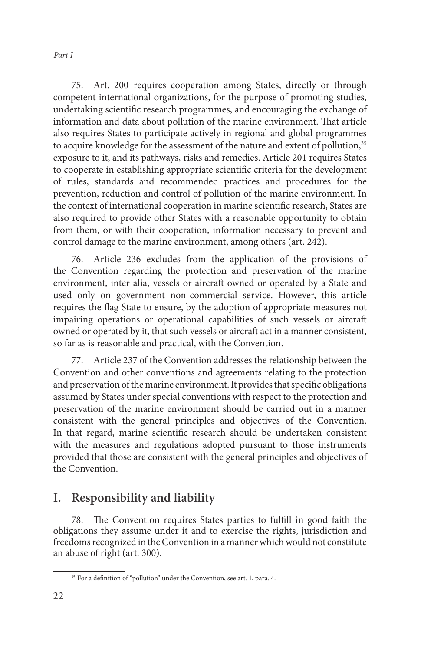75. Art. 200 requires cooperation among States, directly or through competent international organizations, for the purpose of promoting studies, undertaking scientific research programmes, and encouraging the exchange of information and data about pollution of the marine environment. That article also requires States to participate actively in regional and global programmes to acquire knowledge for the assessment of the nature and extent of pollution,<sup>35</sup> exposure to it, and its pathways, risks and remedies. Article 201 requires States to cooperate in establishing appropriate scientific criteria for the development of rules, standards and recommended practices and procedures for the prevention, reduction and control of pollution of the marine environment. In the context of international cooperation in marine scientific research, States are also required to provide other States with a reasonable opportunity to obtain from them, or with their cooperation, information necessary to prevent and control damage to the marine environment, among others (art. 242).

76. Article 236 excludes from the application of the provisions of the Convention regarding the protection and preservation of the marine environment, inter alia, vessels or aircraft owned or operated by a State and used only on government non-commercial service. However, this article requires the flag State to ensure, by the adoption of appropriate measures not impairing operations or operational capabilities of such vessels or aircraft owned or operated by it, that such vessels or aircraft act in a manner consistent, so far as is reasonable and practical, with the Convention.

77. Article 237 of the Convention addresses the relationship between the Convention and other conventions and agreements relating to the protection and preservation of the marine environment. It provides that specific obligations assumed by States under special conventions with respect to the protection and preservation of the marine environment should be carried out in a manner consistent with the general principles and objectives of the Convention. In that regard, marine scientific research should be undertaken consistent with the measures and regulations adopted pursuant to those instruments provided that those are consistent with the general principles and objectives of the Convention.

## **I. Responsibility and liability**

78. The Convention requires States parties to fulfill in good faith the obligations they assume under it and to exercise the rights, jurisdiction and freedoms recognized in the Convention in a manner which would not constitute an abuse of right (art. 300).

<sup>&</sup>lt;sup>35</sup> For a definition of "pollution" under the Convention, see art. 1, para. 4.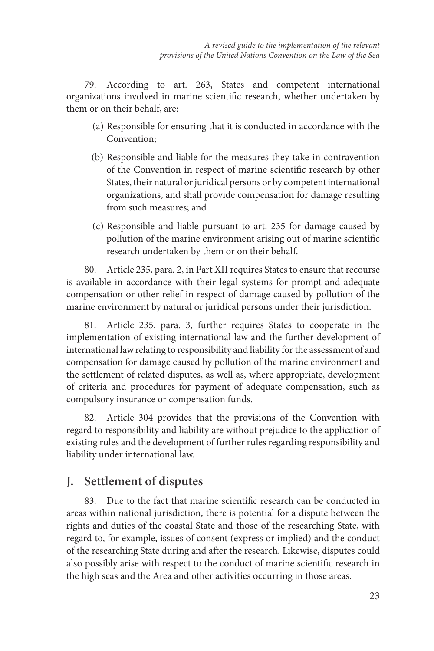79. According to art. 263, States and competent international organizations involved in marine scientific research, whether undertaken by them or on their behalf, are:

- (a) Responsible for ensuring that it is conducted in accordance with the Convention;
- (b) Responsible and liable for the measures they take in contravention of the Convention in respect of marine scientific research by other States, their natural or juridical persons or by competent international organizations, and shall provide compensation for damage resulting from such measures; and
- (c) Responsible and liable pursuant to art. 235 for damage caused by pollution of the marine environment arising out of marine scientific research undertaken by them or on their behalf.

80. Article 235, para. 2, in Part XII requires States to ensure that recourse is available in accordance with their legal systems for prompt and adequate compensation or other relief in respect of damage caused by pollution of the marine environment by natural or juridical persons under their jurisdiction.

81. Article 235, para. 3, further requires States to cooperate in the implementation of existing international law and the further development of international law relating to responsibility and liability for the assessment of and compensation for damage caused by pollution of the marine environment and the settlement of related disputes, as well as, where appropriate, development of criteria and procedures for payment of adequate compensation, such as compulsory insurance or compensation funds.

82. Article 304 provides that the provisions of the Convention with regard to responsibility and liability are without prejudice to the application of existing rules and the development of further rules regarding responsibility and liability under international law.

## **J. Settlement of disputes**

83. Due to the fact that marine scientific research can be conducted in areas within national jurisdiction, there is potential for a dispute between the rights and duties of the coastal State and those of the researching State, with regard to, for example, issues of consent (express or implied) and the conduct of the researching State during and after the research. Likewise, disputes could also possibly arise with respect to the conduct of marine scientific research in the high seas and the Area and other activities occurring in those areas.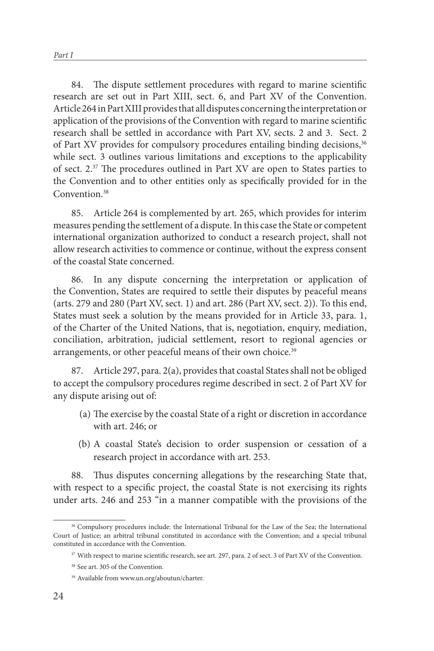84. The dispute settlement procedures with regard to marine scientific research are set out in Part XIII, sect. 6, and Part XV of the Convention. Article 264 in Part XIII provides that all disputes concerning the interpretation or application of the provisions of the Convention with regard to marine scientific research shall be settled in accordance with Part XV, sects. 2 and 3. Sect. 2 of Part XV provides for compulsory procedures entailing binding decisions,<sup>36</sup> while sect. 3 outlines various limitations and exceptions to the applicability of sect. 2.37 The procedures outlined in Part XV are open to States parties to the Convention and to other entities only as specifically provided for in the Convention.<sup>38</sup>

85. Article 264 is complemented by art. 265, which provides for interim measures pending the settlement of a dispute. In this case the State or competent international organization authorized to conduct a research project, shall not allow research activities to commence or continue, without the express consent of the coastal State concerned.

86. In any dispute concerning the interpretation or application of the Convention, States are required to settle their disputes by peaceful means (arts. 279 and 280 (Part XV, sect. 1) and art. 286 (Part XV, sect. 2)). To this end, States must seek a solution by the means provided for in Article 33, para. 1, of the Charter of the United Nations, that is, negotiation, enquiry, mediation, conciliation, arbitration, judicial settlement, resort to regional agencies or arrangements, or other peaceful means of their own choice.<sup>39</sup>

87. Article 297, para. 2(a), provides that coastal States shall not be obliged to accept the compulsory procedures regime described in sect. 2 of Part XV for any dispute arising out of:

- (a) The exercise by the coastal State of a right or discretion in accordance with art. 246; or
- (b) A coastal State's decision to order suspension or cessation of a research project in accordance with art. 253.

88. Thus disputes concerning allegations by the researching State that, with respect to a specific project, the coastal State is not exercising its rights under arts. 246 and 253 "in a manner compatible with the provisions of the

<sup>36</sup> Compulsory procedures include: the International Tribunal for the Law of the Sea; the International Court of Justice; an arbitral tribunal constituted in accordance with the Convention; and a special tribunal constituted in accordance with the Convention.

<sup>&</sup>lt;sup>37</sup> With respect to marine scientific research, see art. 297, para. 2 of sect. 3 of Part XV of the Convention.

<sup>38</sup> See art. 305 of the Convention.

<sup>39</sup> Available from www.un.org/aboutun/charter.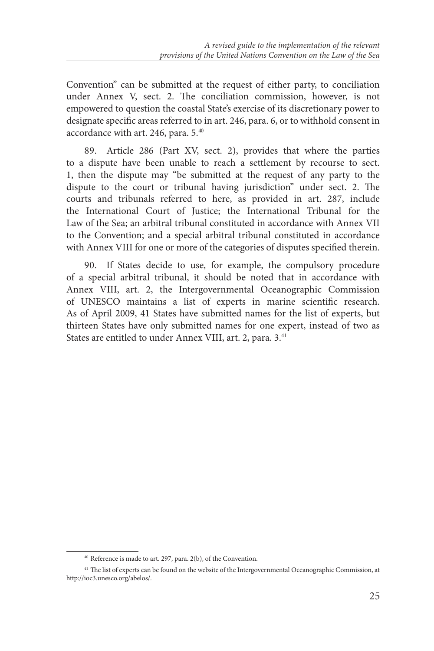Convention" can be submitted at the request of either party, to conciliation under Annex V, sect. 2. The conciliation commission, however, is not empowered to question the coastal State's exercise of its discretionary power to designate specific areas referred to in art. 246, para. 6, or to withhold consent in accordance with art. 246, para. 5.40

89. Article 286 (Part XV, sect. 2), provides that where the parties to a dispute have been unable to reach a settlement by recourse to sect. 1, then the dispute may "be submitted at the request of any party to the dispute to the court or tribunal having jurisdiction" under sect. 2. The courts and tribunals referred to here, as provided in art. 287, include the International Court of Justice; the International Tribunal for the Law of the Sea; an arbitral tribunal constituted in accordance with Annex VII to the Convention; and a special arbitral tribunal constituted in accordance with Annex VIII for one or more of the categories of disputes specified therein.

90. If States decide to use, for example, the compulsory procedure of a special arbitral tribunal, it should be noted that in accordance with Annex VIII, art. 2, the Intergovernmental Oceanographic Commission of UNESCO maintains a list of experts in marine scientific research. As of April 2009, 41 States have submitted names for the list of experts, but thirteen States have only submitted names for one expert, instead of two as States are entitled to under Annex VIII, art. 2, para. 3.<sup>41</sup>

<sup>40</sup> Reference is made to art. 297, para. 2(b), of the Convention.

<sup>&</sup>lt;sup>41</sup> The list of experts can be found on the website of the Intergovernmental Oceanographic Commission, at http://ioc3.unesco.org/abelos/.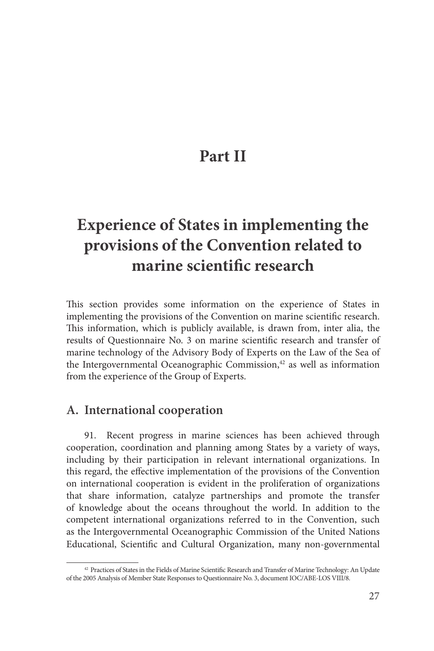# **Part II**

# **Experience of States in implementing the provisions of the Convention related to marine scientific research**

This section provides some information on the experience of States in implementing the provisions of the Convention on marine scientific research. This information, which is publicly available, is drawn from, inter alia, the results of Questionnaire No. 3 on marine scientific research and transfer of marine technology of the Advisory Body of Experts on the Law of the Sea of the Intergovernmental Oceanographic Commission, $42$  as well as information from the experience of the Group of Experts.

## **A. International cooperation**

91. Recent progress in marine sciences has been achieved through cooperation, coordination and planning among States by a variety of ways, including by their participation in relevant international organizations. In this regard, the effective implementation of the provisions of the Convention on international cooperation is evident in the proliferation of organizations that share information, catalyze partnerships and promote the transfer of knowledge about the oceans throughout the world. In addition to the competent international organizations referred to in the Convention, such as the Intergovernmental Oceanographic Commission of the United Nations Educational, Scientific and Cultural Organization, many non-governmental

<sup>&</sup>lt;sup>42</sup> Practices of States in the Fields of Marine Scientific Research and Transfer of Marine Technology: An Update of the 2005 Analysis of Member State Responses to Questionnaire No. 3, document IOC/ABE-LOS VIII/8.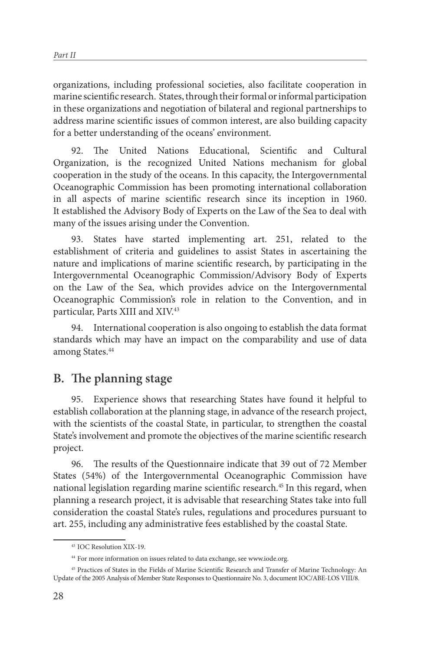organizations, including professional societies, also facilitate cooperation in marine scientific research. States, through their formal or informal participation in these organizations and negotiation of bilateral and regional partnerships to address marine scientific issues of common interest, are also building capacity for a better understanding of the oceans' environment.

92. The United Nations Educational, Scientific and Cultural Organization, is the recognized United Nations mechanism for global cooperation in the study of the oceans. In this capacity, the Intergovernmental Oceanographic Commission has been promoting international collaboration in all aspects of marine scientific research since its inception in 1960. It established the Advisory Body of Experts on the Law of the Sea to deal with many of the issues arising under the Convention.

93. States have started implementing art. 251, related to the establishment of criteria and guidelines to assist States in ascertaining the nature and implications of marine scientific research, by participating in the Intergovernmental Oceanographic Commission/Advisory Body of Experts on the Law of the Sea, which provides advice on the Intergovernmental Oceanographic Commission's role in relation to the Convention, and in particular, Parts XIII and XIV.43

94. International cooperation is also ongoing to establish the data format standards which may have an impact on the comparability and use of data among States.<sup>44</sup>

## **B. The planning stage**

95. Experience shows that researching States have found it helpful to establish collaboration at the planning stage, in advance of the research project, with the scientists of the coastal State, in particular, to strengthen the coastal State's involvement and promote the objectives of the marine scientific research project.

96. The results of the Questionnaire indicate that 39 out of 72 Member States (54%) of the Intergovernmental Oceanographic Commission have national legislation regarding marine scientific research.<sup>45</sup> In this regard, when planning a research project, it is advisable that researching States take into full consideration the coastal State's rules, regulations and procedures pursuant to art. 255, including any administrative fees established by the coastal State.

<sup>43</sup> IOC Resolution XIX-19.

<sup>&</sup>lt;sup>44</sup> For more information on issues related to data exchange, see www.iode.org.

<sup>45</sup> Practices of States in the Fields of Marine Scientific Research and Transfer of Marine Technology: An Update of the 2005 Analysis of Member State Responses to Questionnaire No. 3, document IOC/ABE-LOS VIII/8.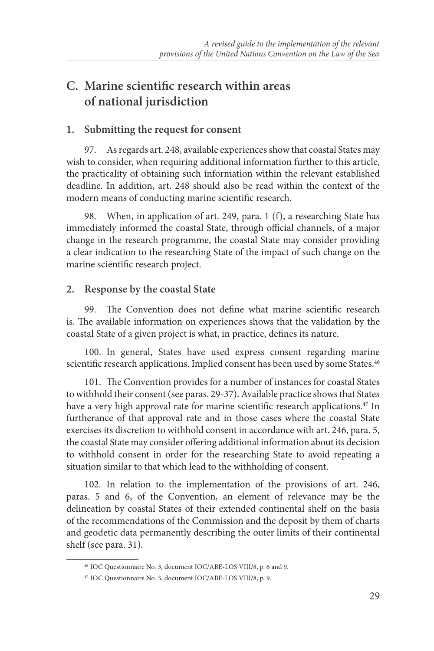# **C. Marine scientific research within areas of national jurisdiction**

## **1. Submitting the request for consent**

97. As regards art. 248, available experiences show that coastal States may wish to consider, when requiring additional information further to this article, the practicality of obtaining such information within the relevant established deadline. In addition, art. 248 should also be read within the context of the modern means of conducting marine scientific research.

98. When, in application of art. 249, para. 1 (f), a researching State has immediately informed the coastal State, through official channels, of a major change in the research programme, the coastal State may consider providing a clear indication to the researching State of the impact of such change on the marine scientific research project.

## **2. Response by the coastal State**

99. The Convention does not define what marine scientific research is. The available information on experiences shows that the validation by the coastal State of a given project is what, in practice, defines its nature.

100. In general, States have used express consent regarding marine scientific research applications. Implied consent has been used by some States.<sup>46</sup>

101. The Convention provides for a number of instances for coastal States to withhold their consent (see paras. 29-37). Available practice shows that States have a very high approval rate for marine scientific research applications.<sup>47</sup> In furtherance of that approval rate and in those cases where the coastal State exercises its discretion to withhold consent in accordance with art. 246, para. 5, the coastal State may consider offering additional information about its decision to withhold consent in order for the researching State to avoid repeating a situation similar to that which lead to the withholding of consent.

102. In relation to the implementation of the provisions of art. 246, paras. 5 and 6, of the Convention, an element of relevance may be the delineation by coastal States of their extended continental shelf on the basis of the recommendations of the Commission and the deposit by them of charts and geodetic data permanently describing the outer limits of their continental shelf (see para. 31).

<sup>46</sup> IOC Questionnaire No. 3, document IOC/ABE-LOS VIII/8, p. 6 and 9.

<sup>47</sup> IOC Questionnaire No. 3, document IOC/ABE-LOS VIII/8, p. 9.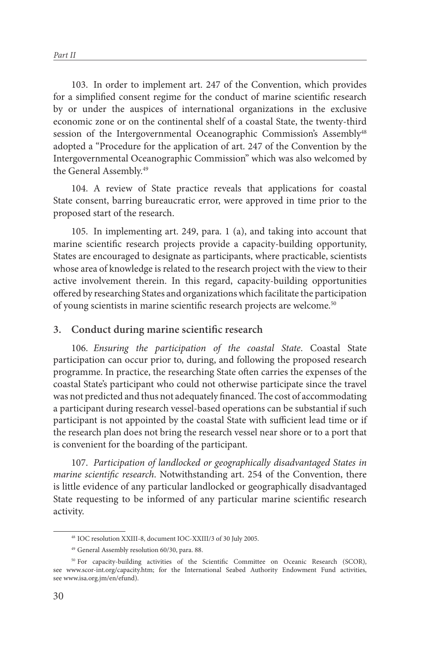103. In order to implement art. 247 of the Convention, which provides for a simplified consent regime for the conduct of marine scientific research by or under the auspices of international organizations in the exclusive economic zone or on the continental shelf of a coastal State, the twenty-third session of the Intergovernmental Oceanographic Commission's Assembly<sup>48</sup> adopted a "Procedure for the application of art. 247 of the Convention by the Intergovernmental Oceanographic Commission" which was also welcomed by the General Assembly.<sup>49</sup>

104. A review of State practice reveals that applications for coastal State consent, barring bureaucratic error, were approved in time prior to the proposed start of the research.

105. In implementing art. 249, para. 1 (a), and taking into account that marine scientific research projects provide a capacity-building opportunity, States are encouraged to designate as participants, where practicable, scientists whose area of knowledge is related to the research project with the view to their active involvement therein. In this regard, capacity-building opportunities offered by researching States and organizations which facilitate the participation of young scientists in marine scientific research projects are welcome.50

#### **3. Conduct during marine scientific research**

106. *Ensuring the participation of the coastal State*. Coastal State participation can occur prior to, during, and following the proposed research programme. In practice, the researching State often carries the expenses of the coastal State's participant who could not otherwise participate since the travel was not predicted and thus not adequately financed. The cost of accommodating a participant during research vessel-based operations can be substantial if such participant is not appointed by the coastal State with sufficient lead time or if the research plan does not bring the research vessel near shore or to a port that is convenient for the boarding of the participant.

107. *Participation of landlocked or geographically disadvantaged States in marine scientific research*. Notwithstanding art. 254 of the Convention, there is little evidence of any particular landlocked or geographically disadvantaged State requesting to be informed of any particular marine scientific research activity.

<sup>48</sup> IOC resolution XXIII-8, document IOC-XXIII/3 of 30 July 2005.

<sup>49</sup> General Assembly resolution 60/30, para. 88.

<sup>50</sup> For capacity-building activities of the Scientific Committee on Oceanic Research (SCOR), see www.scor-int.org/capacity.htm; for the International Seabed Authority Endowment Fund activities, see www.isa.org.jm/en/efund).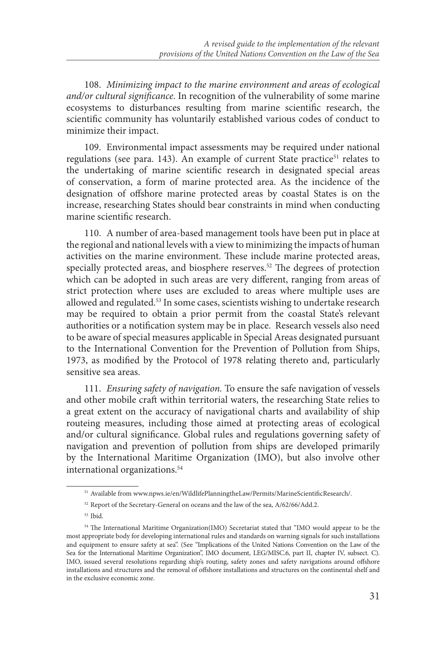108. *Minimizing impact to the marine environment and areas of ecological and/or cultural significance*. In recognition of the vulnerability of some marine ecosystems to disturbances resulting from marine scientific research, the scientific community has voluntarily established various codes of conduct to minimize their impact.

109. Environmental impact assessments may be required under national regulations (see para. 143). An example of current State practice<sup>51</sup> relates to the undertaking of marine scientific research in designated special areas of conservation, a form of marine protected area. As the incidence of the designation of offshore marine protected areas by coastal States is on the increase, researching States should bear constraints in mind when conducting marine scientific research.

110. A number of area-based management tools have been put in place at the regional and national levels with a view to minimizing the impacts of human activities on the marine environment. These include marine protected areas, specially protected areas, and biosphere reserves.<sup>52</sup> The degrees of protection which can be adopted in such areas are very different, ranging from areas of strict protection where uses are excluded to areas where multiple uses are allowed and regulated.<sup>53</sup> In some cases, scientists wishing to undertake research may be required to obtain a prior permit from the coastal State's relevant authorities or a notification system may be in place. Research vessels also need to be aware of special measures applicable in Special Areas designated pursuant to the International Convention for the Prevention of Pollution from Ships, 1973, as modified by the Protocol of 1978 relating thereto and, particularly sensitive sea areas.

111. *Ensuring safety of navigation.* To ensure the safe navigation of vessels and other mobile craft within territorial waters, the researching State relies to a great extent on the accuracy of navigational charts and availability of ship routeing measures, including those aimed at protecting areas of ecological and/or cultural significance. Global rules and regulations governing safety of navigation and prevention of pollution from ships are developed primarily by the International Maritime Organization (IMO), but also involve other international organizations.<sup>54</sup>

<sup>51</sup> Available from www.npws.ie/en/WildlifePlanningtheLaw/Permits/MarineScientificResearch/.

<sup>&</sup>lt;sup>52</sup> Report of the Secretary-General on oceans and the law of the sea, A/62/66/Add.2.

<sup>53</sup> Ibid.

<sup>54</sup> The International Maritime Organization(IMO) Secretariat stated that "IMO would appear to be the most appropriate body for developing international rules and standards on warning signals for such installations and equipment to ensure safety at sea". (See "Implications of the United Nations Convention on the Law of the Sea for the International Maritime Organization", IMO document, LEG/MISC.6, part II, chapter IV, subsect. C). IMO, issued several resolutions regarding ship's routing, safety zones and safety navigations around offshore installations and structures and the removal of offshore installations and structures on the continental shelf and in the exclusive economic zone.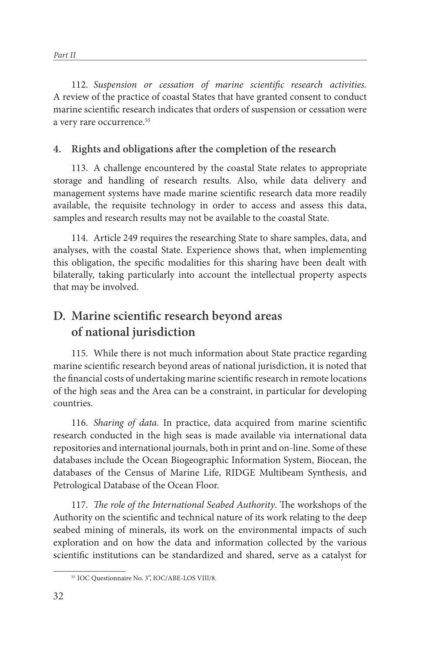112. *Suspension or cessation of marine scientific research activities.* A review of the practice of coastal States that have granted consent to conduct marine scientific research indicates that orders of suspension or cessation were a very rare occurrence.<sup>55</sup>

## **4. Rights and obligations after the completion of the research**

113. A challenge encountered by the coastal State relates to appropriate storage and handling of research results. Also, while data delivery and management systems have made marine scientific research data more readily available, the requisite technology in order to access and assess this data, samples and research results may not be available to the coastal State.

114. Article 249 requires the researching State to share samples, data, and analyses, with the coastal State. Experience shows that, when implementing this obligation, the specific modalities for this sharing have been dealt with bilaterally, taking particularly into account the intellectual property aspects that may be involved.

# **D. Marine scientific research beyond areas of national jurisdiction**

115. While there is not much information about State practice regarding marine scientific research beyond areas of national jurisdiction, it is noted that the financial costs of undertaking marine scientific research in remote locations of the high seas and the Area can be a constraint, in particular for developing countries.

116. *Sharing of data*. In practice, data acquired from marine scientific research conducted in the high seas is made available via international data repositories and international journals, both in print and on-line. Some of these databases include the Ocean Biogeographic Information System, Biocean, the databases of the Census of Marine Life, RIDGE Multibeam Synthesis, and Petrological Database of the Ocean Floor.

117. *The role of the International Seabed Authority*. The workshops of the Authority on the scientific and technical nature of its work relating to the deep seabed mining of minerals, its work on the environmental impacts of such exploration and on how the data and information collected by the various scientific institutions can be standardized and shared, serve as a catalyst for

<sup>55</sup> IOC Questionnaire No. 3", IOC/ABE-LOS VIII/8.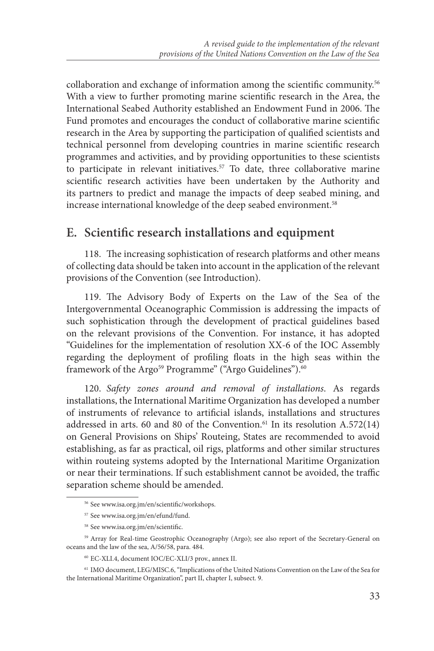collaboration and exchange of information among the scientific community.<sup>56</sup> With a view to further promoting marine scientific research in the Area, the International Seabed Authority established an Endowment Fund in 2006. The Fund promotes and encourages the conduct of collaborative marine scientific research in the Area by supporting the participation of qualified scientists and technical personnel from developing countries in marine scientific research programmes and activities, and by providing opportunities to these scientists to participate in relevant initiatives. $57$  To date, three collaborative marine scientific research activities have been undertaken by the Authority and its partners to predict and manage the impacts of deep seabed mining, and increase international knowledge of the deep seabed environment.<sup>58</sup>

## **E. Scientific research installations and equipment**

118. The increasing sophistication of research platforms and other means of collecting data should be taken into account in the application of the relevant provisions of the Convention (see Introduction).

119. The Advisory Body of Experts on the Law of the Sea of the Intergovernmental Oceanographic Commission is addressing the impacts of such sophistication through the development of practical guidelines based on the relevant provisions of the Convention. For instance, it has adopted "Guidelines for the implementation of resolution XX-6 of the IOC Assembly regarding the deployment of profiling floats in the high seas within the framework of the Argo<sup>59</sup> Programme" ("Argo Guidelines").<sup>60</sup>

120. *Safety zones around and removal of installations*. As regards installations, the International Maritime Organization has developed a number of instruments of relevance to artificial islands, installations and structures addressed in arts. 60 and 80 of the Convention.<sup>61</sup> In its resolution A.572(14) on General Provisions on Ships' Routeing, States are recommended to avoid establishing, as far as practical, oil rigs, platforms and other similar structures within routeing systems adopted by the International Maritime Organization or near their terminations. If such establishment cannot be avoided, the traffic separation scheme should be amended.

<sup>56</sup> See www.isa.org.jm/en/scientific/workshops.

<sup>57</sup> See www.isa.org.jm/en/efund/fund.

<sup>58</sup> See www.isa.org.jm/en/scientific.

<sup>&</sup>lt;sup>59</sup> Array for Real-time Geostrophic Oceanography (Argo); see also report of the Secretary-General on oceans and the law of the sea, A/56/58, para. 484.

<sup>60</sup> EC-XLI.4, document IOC/EC-XLI/3 prov., annex II.

<sup>61</sup> IMO document, LEG/MISC.6, "Implications of the United Nations Convention on the Law of the Sea for the International Maritime Organization", part II, chapter I, subsect. 9.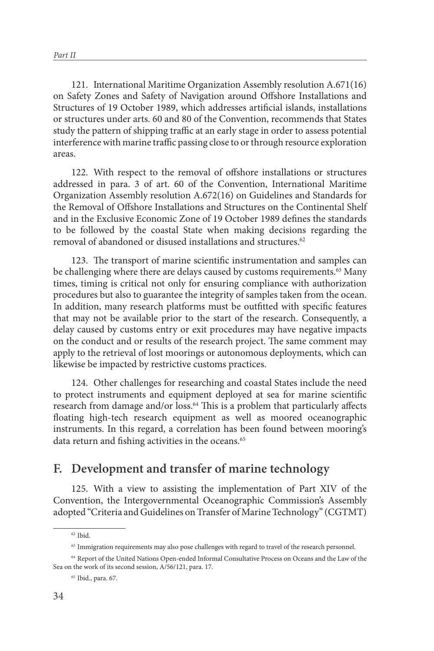121. International Maritime Organization Assembly resolution A.671(16) on Safety Zones and Safety of Navigation around Offshore Installations and Structures of 19 October 1989, which addresses artificial islands, installations or structures under arts. 60 and 80 of the Convention, recommends that States study the pattern of shipping traffic at an early stage in order to assess potential interference with marine traffic passing close to or through resource exploration areas.

122. With respect to the removal of offshore installations or structures addressed in para. 3 of art. 60 of the Convention, International Maritime Organization Assembly resolution A.672(16) on Guidelines and Standards for the Removal of Offshore Installations and Structures on the Continental Shelf and in the Exclusive Economic Zone of 19 October 1989 defines the standards to be followed by the coastal State when making decisions regarding the removal of abandoned or disused installations and structures.<sup>62</sup>

123. The transport of marine scientific instrumentation and samples can be challenging where there are delays caused by customs requirements.<sup>63</sup> Many times, timing is critical not only for ensuring compliance with authorization procedures but also to guarantee the integrity of samples taken from the ocean. In addition, many research platforms must be outfitted with specific features that may not be available prior to the start of the research. Consequently, a delay caused by customs entry or exit procedures may have negative impacts on the conduct and or results of the research project. The same comment may apply to the retrieval of lost moorings or autonomous deployments, which can likewise be impacted by restrictive customs practices.

124. Other challenges for researching and coastal States include the need to protect instruments and equipment deployed at sea for marine scientific research from damage and/or loss.<sup>64</sup> This is a problem that particularly affects floating high-tech research equipment as well as moored oceanographic instruments. In this regard, a correlation has been found between mooring's data return and fishing activities in the oceans.<sup>65</sup>

## **F. Development and transfer of marine technology**

125. With a view to assisting the implementation of Part XIV of the Convention, the Intergovernmental Oceanographic Commission's Assembly adopted "Criteria and Guidelines on Transfer of Marine Technology" (CGTMT)

<sup>62</sup> Ibid.

<sup>&</sup>lt;sup>63</sup> Immigration requirements may also pose challenges with regard to travel of the research personnel.

<sup>64</sup> Report of the United Nations Open-ended Informal Consultative Process on Oceans and the Law of the Sea on the work of its second session, A/56/121, para. 17.

<sup>65</sup> Ibid., para. 67.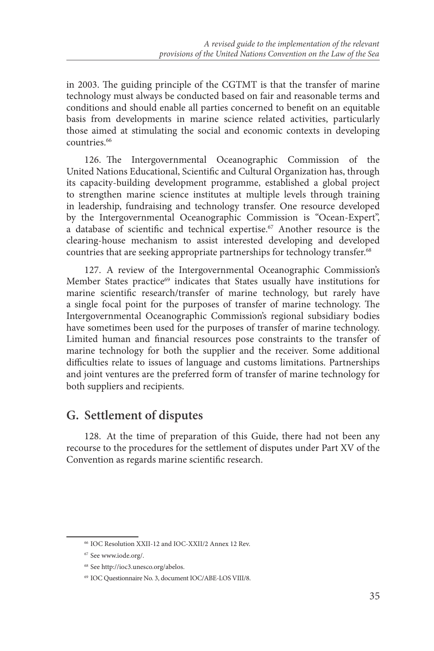in 2003. The guiding principle of the CGTMT is that the transfer of marine technology must always be conducted based on fair and reasonable terms and conditions and should enable all parties concerned to benefit on an equitable basis from developments in marine science related activities, particularly those aimed at stimulating the social and economic contexts in developing countries.<sup>66</sup>

126. The Intergovernmental Oceanographic Commission of the United Nations Educational, Scientific and Cultural Organization has, through its capacity-building development programme, established a global project to strengthen marine science institutes at multiple levels through training in leadership, fundraising and technology transfer. One resource developed by the Intergovernmental Oceanographic Commission is "Ocean-Expert", a database of scientific and technical expertise.<sup>67</sup> Another resource is the clearing-house mechanism to assist interested developing and developed countries that are seeking appropriate partnerships for technology transfer.<sup>68</sup>

127. A review of the Intergovernmental Oceanographic Commission's Member States practice<sup>69</sup> indicates that States usually have institutions for marine scientific research/transfer of marine technology, but rarely have a single focal point for the purposes of transfer of marine technology. The Intergovernmental Oceanographic Commission's regional subsidiary bodies have sometimes been used for the purposes of transfer of marine technology. Limited human and financial resources pose constraints to the transfer of marine technology for both the supplier and the receiver. Some additional difficulties relate to issues of language and customs limitations. Partnerships and joint ventures are the preferred form of transfer of marine technology for both suppliers and recipients.

# **G. Settlement of disputes**

128. At the time of preparation of this Guide, there had not been any recourse to the procedures for the settlement of disputes under Part XV of the Convention as regards marine scientific research.

 $^{66}$  IOC Resolution XXII-12 and IOC-XXII/2 Annex 12 Rev.

<sup>67</sup> See www.iode.org/.

<sup>68</sup> See http://ioc3.unesco.org/abelos.

<sup>69</sup> IOC Questionnaire No. 3, document IOC/ABE-LOS VIII/8.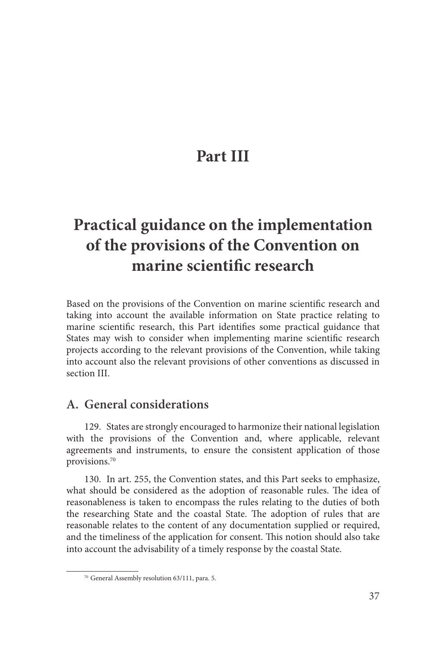# **Part III**

# **Practical guidance on the implementation of the provisions of the Convention on marine scientific research**

Based on the provisions of the Convention on marine scientific research and taking into account the available information on State practice relating to marine scientific research, this Part identifies some practical guidance that States may wish to consider when implementing marine scientific research projects according to the relevant provisions of the Convention, while taking into account also the relevant provisions of other conventions as discussed in section III.

## **A. General considerations**

129. States are strongly encouraged to harmonize their national legislation with the provisions of the Convention and, where applicable, relevant agreements and instruments, to ensure the consistent application of those provisions.70

130. In art. 255, the Convention states, and this Part seeks to emphasize, what should be considered as the adoption of reasonable rules. The idea of reasonableness is taken to encompass the rules relating to the duties of both the researching State and the coastal State. The adoption of rules that are reasonable relates to the content of any documentation supplied or required, and the timeliness of the application for consent. This notion should also take into account the advisability of a timely response by the coastal State.

<sup>70</sup> General Assembly resolution 63/111, para. 5.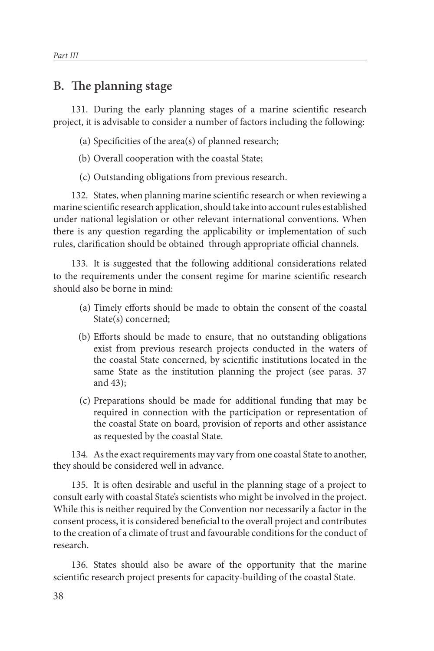## **B. The planning stage**

131. During the early planning stages of a marine scientific research project, it is advisable to consider a number of factors including the following:

(a) Specificities of the area(s) of planned research;

(b) Overall cooperation with the coastal State;

(c) Outstanding obligations from previous research.

132. States, when planning marine scientific research or when reviewing a marine scientific research application, should take into account rules established under national legislation or other relevant international conventions. When there is any question regarding the applicability or implementation of such rules, clarification should be obtained through appropriate official channels.

133. It is suggested that the following additional considerations related to the requirements under the consent regime for marine scientific research should also be borne in mind:

- (a) Timely efforts should be made to obtain the consent of the coastal State(s) concerned;
- (b) Efforts should be made to ensure, that no outstanding obligations exist from previous research projects conducted in the waters of the coastal State concerned, by scientific institutions located in the same State as the institution planning the project (see paras. 37 and 43);
- (c) Preparations should be made for additional funding that may be required in connection with the participation or representation of the coastal State on board, provision of reports and other assistance as requested by the coastal State.

134. As the exact requirements may vary from one coastal State to another, they should be considered well in advance.

135. It is often desirable and useful in the planning stage of a project to consult early with coastal State's scientists who might be involved in the project. While this is neither required by the Convention nor necessarily a factor in the consent process, it is considered beneficial to the overall project and contributes to the creation of a climate of trust and favourable conditions for the conduct of research.

136. States should also be aware of the opportunity that the marine scientific research project presents for capacity-building of the coastal State.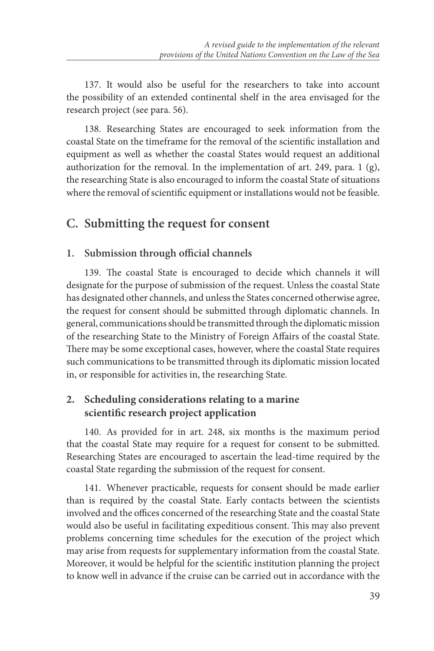137. It would also be useful for the researchers to take into account the possibility of an extended continental shelf in the area envisaged for the research project (see para. 56).

138. Researching States are encouraged to seek information from the coastal State on the timeframe for the removal of the scientific installation and equipment as well as whether the coastal States would request an additional authorization for the removal. In the implementation of art. 249, para. 1 (g), the researching State is also encouraged to inform the coastal State of situations where the removal of scientific equipment or installations would not be feasible.

# **C. Submitting the request for consent**

## **1. Submission through official channels**

139. The coastal State is encouraged to decide which channels it will designate for the purpose of submission of the request. Unless the coastal State has designated other channels, and unless the States concerned otherwise agree, the request for consent should be submitted through diplomatic channels. In general, communications should be transmitted through the diplomatic mission of the researching State to the Ministry of Foreign Affairs of the coastal State. There may be some exceptional cases, however, where the coastal State requires such communications to be transmitted through its diplomatic mission located in, or responsible for activities in, the researching State.

## **2. Scheduling considerations relating to a marine scientific research project application**

140. As provided for in art. 248, six months is the maximum period that the coastal State may require for a request for consent to be submitted. Researching States are encouraged to ascertain the lead-time required by the coastal State regarding the submission of the request for consent.

141. Whenever practicable, requests for consent should be made earlier than is required by the coastal State. Early contacts between the scientists involved and the offices concerned of the researching State and the coastal State would also be useful in facilitating expeditious consent. This may also prevent problems concerning time schedules for the execution of the project which may arise from requests for supplementary information from the coastal State. Moreover, it would be helpful for the scientific institution planning the project to know well in advance if the cruise can be carried out in accordance with the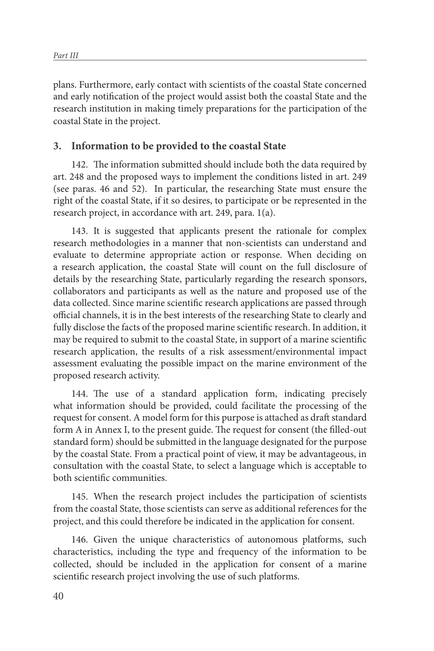plans. Furthermore, early contact with scientists of the coastal State concerned and early notification of the project would assist both the coastal State and the research institution in making timely preparations for the participation of the coastal State in the project.

### **3. Information to be provided to the coastal State**

142. The information submitted should include both the data required by art. 248 and the proposed ways to implement the conditions listed in art. 249 (see paras. 46 and 52). In particular, the researching State must ensure the right of the coastal State, if it so desires, to participate or be represented in the research project, in accordance with art. 249, para. 1(a).

143. It is suggested that applicants present the rationale for complex research methodologies in a manner that non-scientists can understand and evaluate to determine appropriate action or response. When deciding on a research application, the coastal State will count on the full disclosure of details by the researching State, particularly regarding the research sponsors, collaborators and participants as well as the nature and proposed use of the data collected. Since marine scientific research applications are passed through official channels, it is in the best interests of the researching State to clearly and fully disclose the facts of the proposed marine scientific research. In addition, it may be required to submit to the coastal State, in support of a marine scientific research application, the results of a risk assessment/environmental impact assessment evaluating the possible impact on the marine environment of the proposed research activity.

144. The use of a standard application form, indicating precisely what information should be provided, could facilitate the processing of the request for consent. A model form for this purpose is attached as draft standard form A in Annex I, to the present guide. The request for consent (the filled-out standard form) should be submitted in the language designated for the purpose by the coastal State. From a practical point of view, it may be advantageous, in consultation with the coastal State, to select a language which is acceptable to both scientific communities.

145. When the research project includes the participation of scientists from the coastal State, those scientists can serve as additional references for the project, and this could therefore be indicated in the application for consent.

146. Given the unique characteristics of autonomous platforms, such characteristics, including the type and frequency of the information to be collected, should be included in the application for consent of a marine scientific research project involving the use of such platforms.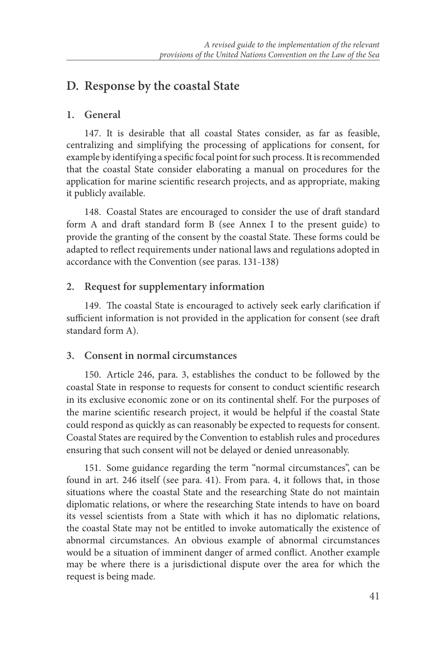# **D. Response by the coastal State**

## **1. General**

147. It is desirable that all coastal States consider, as far as feasible, centralizing and simplifying the processing of applications for consent, for example by identifying a specific focal point for such process. It is recommended that the coastal State consider elaborating a manual on procedures for the application for marine scientific research projects, and as appropriate, making it publicly available.

148. Coastal States are encouraged to consider the use of draft standard form A and draft standard form B (see Annex I to the present guide) to provide the granting of the consent by the coastal State. These forms could be adapted to reflect requirements under national laws and regulations adopted in accordance with the Convention (see paras. 131-138)

## **2. Request for supplementary information**

149. The coastal State is encouraged to actively seek early clarification if sufficient information is not provided in the application for consent (see draft standard form A).

### **3. Consent in normal circumstances**

150. Article 246, para. 3, establishes the conduct to be followed by the coastal State in response to requests for consent to conduct scientific research in its exclusive economic zone or on its continental shelf. For the purposes of the marine scientific research project, it would be helpful if the coastal State could respond as quickly as can reasonably be expected to requests for consent. Coastal States are required by the Convention to establish rules and procedures ensuring that such consent will not be delayed or denied unreasonably.

151. Some guidance regarding the term "normal circumstances", can be found in art. 246 itself (see para. 41). From para. 4, it follows that, in those situations where the coastal State and the researching State do not maintain diplomatic relations, or where the researching State intends to have on board its vessel scientists from a State with which it has no diplomatic relations, the coastal State may not be entitled to invoke automatically the existence of abnormal circumstances. An obvious example of abnormal circumstances would be a situation of imminent danger of armed conflict. Another example may be where there is a jurisdictional dispute over the area for which the request is being made.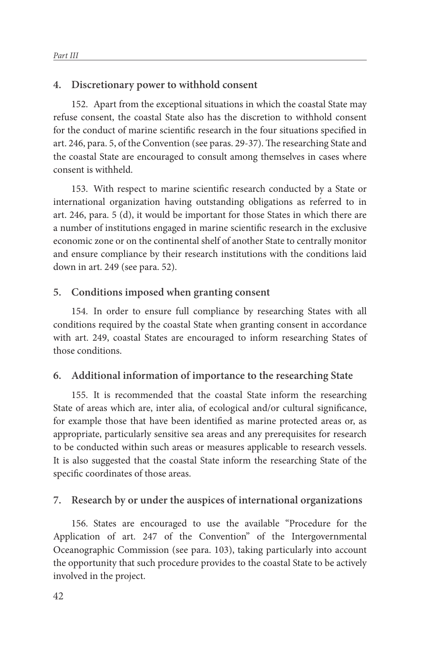## **4. Discretionary power to withhold consent**

152. Apart from the exceptional situations in which the coastal State may refuse consent, the coastal State also has the discretion to withhold consent for the conduct of marine scientific research in the four situations specified in art. 246, para. 5, of the Convention (see paras. 29-37). The researching State and the coastal State are encouraged to consult among themselves in cases where consent is withheld.

153. With respect to marine scientific research conducted by a State or international organization having outstanding obligations as referred to in art. 246, para. 5 (d), it would be important for those States in which there are a number of institutions engaged in marine scientific research in the exclusive economic zone or on the continental shelf of another State to centrally monitor and ensure compliance by their research institutions with the conditions laid down in art. 249 (see para. 52).

## **5. Conditions imposed when granting consent**

154. In order to ensure full compliance by researching States with all conditions required by the coastal State when granting consent in accordance with art. 249, coastal States are encouraged to inform researching States of those conditions.

### **6. Additional information of importance to the researching State**

155. It is recommended that the coastal State inform the researching State of areas which are, inter alia, of ecological and/or cultural significance, for example those that have been identified as marine protected areas or, as appropriate, particularly sensitive sea areas and any prerequisites for research to be conducted within such areas or measures applicable to research vessels. It is also suggested that the coastal State inform the researching State of the specific coordinates of those areas.

### **7. Research by or under the auspices of international organizations**

156. States are encouraged to use the available "Procedure for the Application of art. 247 of the Convention" of the Intergovernmental Oceanographic Commission (see para. 103), taking particularly into account the opportunity that such procedure provides to the coastal State to be actively involved in the project.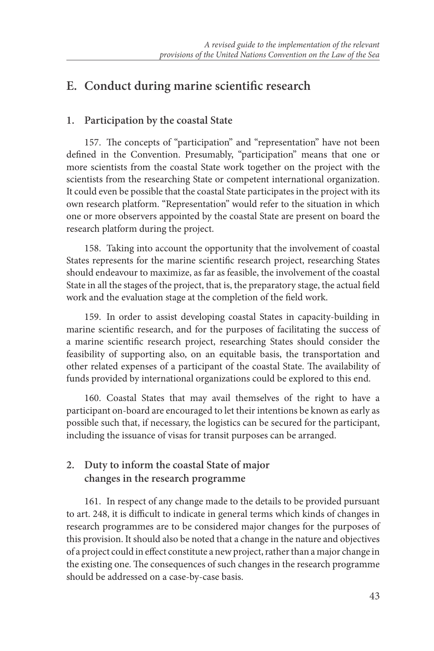# **E. Conduct during marine scientific research**

## **1. Participation by the coastal State**

157. The concepts of "participation" and "representation" have not been defined in the Convention. Presumably, "participation" means that one or more scientists from the coastal State work together on the project with the scientists from the researching State or competent international organization. It could even be possible that the coastal State participates in the project with its own research platform. "Representation" would refer to the situation in which one or more observers appointed by the coastal State are present on board the research platform during the project.

158. Taking into account the opportunity that the involvement of coastal States represents for the marine scientific research project, researching States should endeavour to maximize, as far as feasible, the involvement of the coastal State in all the stages of the project, that is, the preparatory stage, the actual field work and the evaluation stage at the completion of the field work.

159. In order to assist developing coastal States in capacity-building in marine scientific research, and for the purposes of facilitating the success of a marine scientific research project, researching States should consider the feasibility of supporting also, on an equitable basis, the transportation and other related expenses of a participant of the coastal State. The availability of funds provided by international organizations could be explored to this end.

160. Coastal States that may avail themselves of the right to have a participant on-board are encouraged to let their intentions be known as early as possible such that, if necessary, the logistics can be secured for the participant, including the issuance of visas for transit purposes can be arranged.

## **2. Duty to inform the coastal State of major changes in the research programme**

161. In respect of any change made to the details to be provided pursuant to art. 248, it is difficult to indicate in general terms which kinds of changes in research programmes are to be considered major changes for the purposes of this provision. It should also be noted that a change in the nature and objectives of a project could in effect constitute a new project, rather than a major change in the existing one. The consequences of such changes in the research programme should be addressed on a case-by-case basis.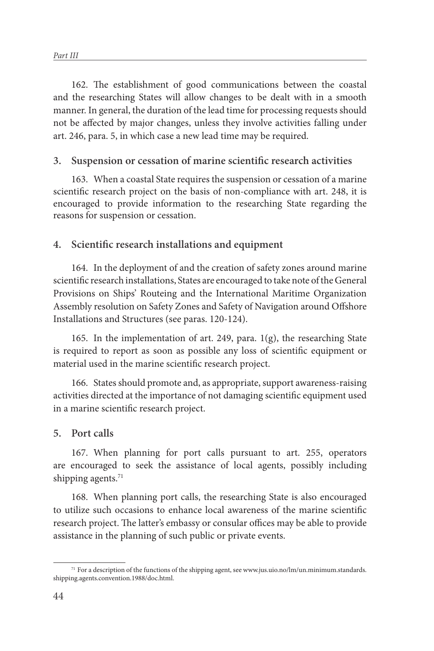162. The establishment of good communications between the coastal and the researching States will allow changes to be dealt with in a smooth manner. In general, the duration of the lead time for processing requests should not be affected by major changes, unless they involve activities falling under art. 246, para. 5, in which case a new lead time may be required.

## **3. Suspension or cessation of marine scientific research activities**

163. When a coastal State requires the suspension or cessation of a marine scientific research project on the basis of non-compliance with art. 248, it is encouraged to provide information to the researching State regarding the reasons for suspension or cessation.

## **4. Scientific research installations and equipment**

164. In the deployment of and the creation of safety zones around marine scientific research installations, States are encouraged to take note of the General Provisions on Ships' Routeing and the International Maritime Organization Assembly resolution on Safety Zones and Safety of Navigation around Offshore Installations and Structures (see paras. 120-124).

165. In the implementation of art. 249, para. 1(g), the researching State is required to report as soon as possible any loss of scientific equipment or material used in the marine scientific research project.

166. States should promote and, as appropriate, support awareness-raising activities directed at the importance of not damaging scientific equipment used in a marine scientific research project.

### **5. Port calls**

167. When planning for port calls pursuant to art. 255, operators are encouraged to seek the assistance of local agents, possibly including shipping agents.<sup>71</sup>

168. When planning port calls, the researching State is also encouraged to utilize such occasions to enhance local awareness of the marine scientific research project. The latter's embassy or consular offices may be able to provide assistance in the planning of such public or private events.

<sup>71</sup> For a description of the functions of the shipping agent, see www.jus.uio.no/lm/un.minimum.standards. shipping.agents.convention.1988/doc.html.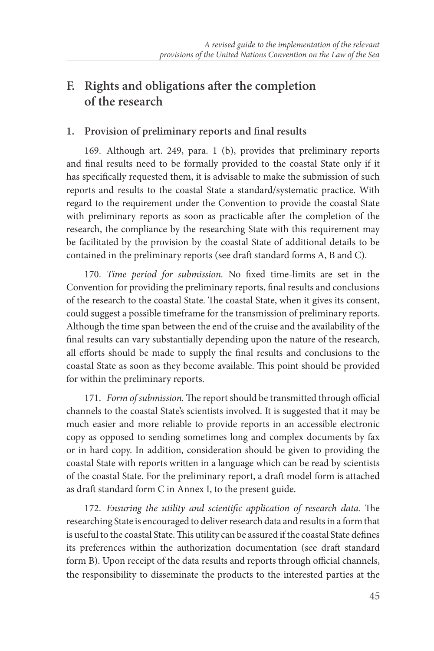# **F. Rights and obligations after the completion of the research**

## **1. Provision of preliminary reports and final results**

169. Although art. 249, para. 1 (b), provides that preliminary reports and final results need to be formally provided to the coastal State only if it has specifically requested them, it is advisable to make the submission of such reports and results to the coastal State a standard/systematic practice. With regard to the requirement under the Convention to provide the coastal State with preliminary reports as soon as practicable after the completion of the research, the compliance by the researching State with this requirement may be facilitated by the provision by the coastal State of additional details to be contained in the preliminary reports (see draft standard forms A, B and C).

170. *Time period for submission.* No fixed time-limits are set in the Convention for providing the preliminary reports, final results and conclusions of the research to the coastal State. The coastal State, when it gives its consent, could suggest a possible timeframe for the transmission of preliminary reports. Although the time span between the end of the cruise and the availability of the final results can vary substantially depending upon the nature of the research, all efforts should be made to supply the final results and conclusions to the coastal State as soon as they become available. This point should be provided for within the preliminary reports.

171. *Form of submission.* The report should be transmitted through official channels to the coastal State's scientists involved. It is suggested that it may be much easier and more reliable to provide reports in an accessible electronic copy as opposed to sending sometimes long and complex documents by fax or in hard copy. In addition, consideration should be given to providing the coastal State with reports written in a language which can be read by scientists of the coastal State. For the preliminary report, a draft model form is attached as draft standard form C in Annex I, to the present guide.

172. *Ensuring the utility and scientific application of research data.* The researching State is encouraged to deliver research data and results in a form that is useful to the coastal State. This utility can be assured if the coastal State defines its preferences within the authorization documentation (see draft standard form B). Upon receipt of the data results and reports through official channels, the responsibility to disseminate the products to the interested parties at the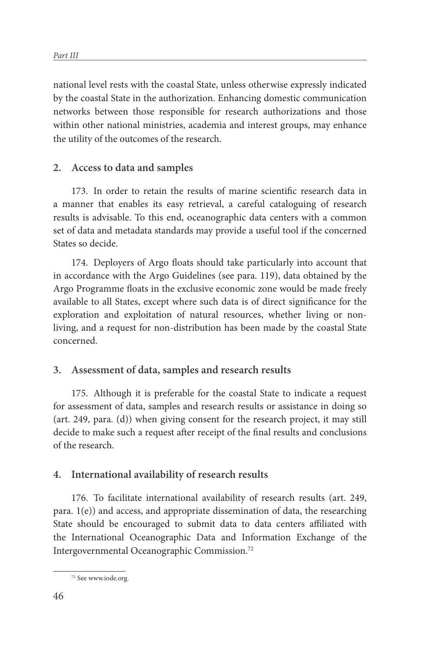national level rests with the coastal State, unless otherwise expressly indicated by the coastal State in the authorization. Enhancing domestic communication networks between those responsible for research authorizations and those within other national ministries, academia and interest groups, may enhance the utility of the outcomes of the research.

## **2. Access to data and samples**

173. In order to retain the results of marine scientific research data in a manner that enables its easy retrieval, a careful cataloguing of research results is advisable. To this end, oceanographic data centers with a common set of data and metadata standards may provide a useful tool if the concerned States so decide.

174. Deployers of Argo floats should take particularly into account that in accordance with the Argo Guidelines (see para. 119), data obtained by the Argo Programme floats in the exclusive economic zone would be made freely available to all States, except where such data is of direct significance for the exploration and exploitation of natural resources, whether living or nonliving, and a request for non-distribution has been made by the coastal State concerned.

## **3. Assessment of data, samples and research results**

175. Although it is preferable for the coastal State to indicate a request for assessment of data, samples and research results or assistance in doing so (art. 249, para. (d)) when giving consent for the research project, it may still decide to make such a request after receipt of the final results and conclusions of the research.

## **4. International availability of research results**

176. To facilitate international availability of research results (art. 249, para. 1(e)) and access, and appropriate dissemination of data, the researching State should be encouraged to submit data to data centers affiliated with the International Oceanographic Data and Information Exchange of the Intergovernmental Oceanographic Commission.72

<sup>72</sup> See www.iode.org.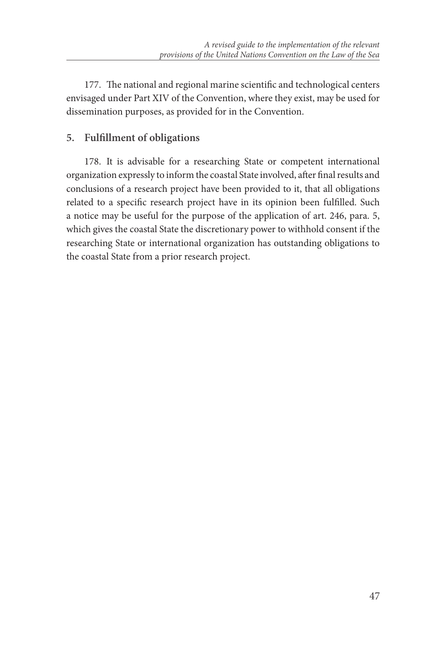177. The national and regional marine scientific and technological centers envisaged under Part XIV of the Convention, where they exist, may be used for dissemination purposes, as provided for in the Convention.

## **5. Fulfillment of obligations**

178. It is advisable for a researching State or competent international organization expressly to inform the coastal State involved, after final results and conclusions of a research project have been provided to it, that all obligations related to a specific research project have in its opinion been fulfilled. Such a notice may be useful for the purpose of the application of art. 246, para. 5, which gives the coastal State the discretionary power to withhold consent if the researching State or international organization has outstanding obligations to the coastal State from a prior research project.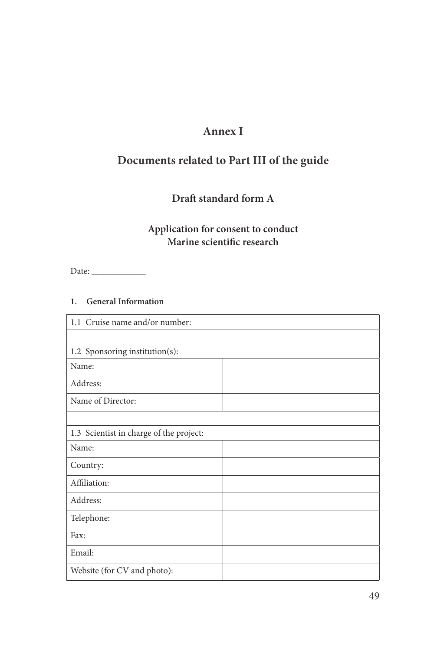# **Annex I**

# **Documents related to Part III of the guide**

# **Draft standard form A**

## **Application for consent to conduct Marine scientific research**

Date: \_\_\_\_\_\_\_\_\_\_\_\_

### **1. General Information**

| 1.1 Cruise name and/or number:          |  |
|-----------------------------------------|--|
|                                         |  |
| 1.2 Sponsoring institution(s):          |  |
| Name:                                   |  |
| Address:                                |  |
| Name of Director:                       |  |
|                                         |  |
| 1.3 Scientist in charge of the project: |  |
| Name:                                   |  |
| Country:                                |  |
| Affiliation:                            |  |
| Address:                                |  |
| Telephone:                              |  |
| Fax:                                    |  |
| Email:                                  |  |
| Website (for CV and photo):             |  |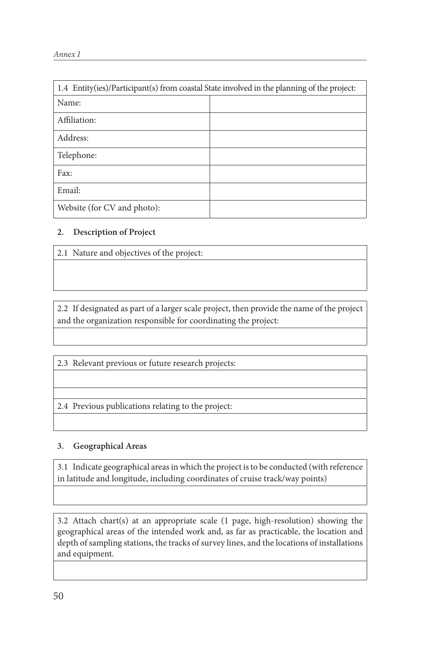| 1.4 Entity(ies)/Participant(s) from coastal State involved in the planning of the project: |  |
|--------------------------------------------------------------------------------------------|--|
| Name:                                                                                      |  |
| Affiliation:                                                                               |  |
| Address:                                                                                   |  |
| Telephone:                                                                                 |  |
| Fax:                                                                                       |  |
| Email:                                                                                     |  |
| Website (for CV and photo):                                                                |  |

#### **2. Description of Project**

2.1 Nature and objectives of the project:

2.2 If designated as part of a larger scale project, then provide the name of the project and the organization responsible for coordinating the project:

2.3 Relevant previous or future research projects:

2.4 Previous publications relating to the project:

### **3. Geographical Areas**

3.1 Indicate geographical areas in which the project is to be conducted (with reference in latitude and longitude, including coordinates of cruise track/way points)

3.2 Attach chart(s) at an appropriate scale (1 page, high-resolution) showing the geographical areas of the intended work and, as far as practicable, the location and depth of sampling stations, the tracks of survey lines, and the locations of installations and equipment.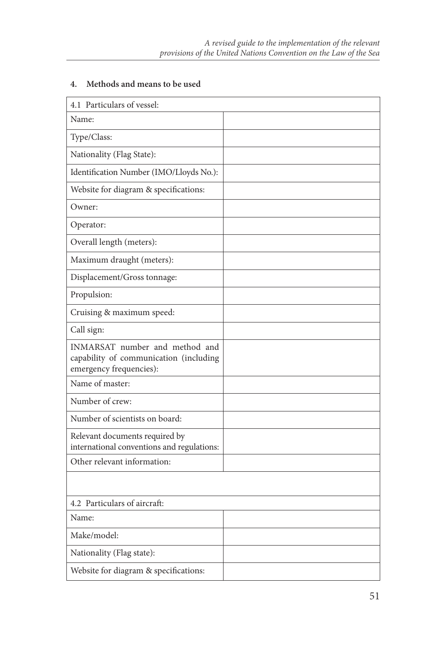#### **4. Methods and means to be used**

| 4.1 Particulars of vessel:                                                                          |  |
|-----------------------------------------------------------------------------------------------------|--|
| Name:                                                                                               |  |
| Type/Class:                                                                                         |  |
| Nationality (Flag State):                                                                           |  |
| Identification Number (IMO/Lloyds No.):                                                             |  |
| Website for diagram & specifications:                                                               |  |
| Owner:                                                                                              |  |
| Operator:                                                                                           |  |
| Overall length (meters):                                                                            |  |
| Maximum draught (meters):                                                                           |  |
| Displacement/Gross tonnage:                                                                         |  |
| Propulsion:                                                                                         |  |
| Cruising & maximum speed:                                                                           |  |
| Call sign:                                                                                          |  |
| INMARSAT number and method and<br>capability of communication (including<br>emergency frequencies): |  |
| Name of master:                                                                                     |  |
| Number of crew:                                                                                     |  |
| Number of scientists on board:                                                                      |  |
| Relevant documents required by<br>international conventions and regulations:                        |  |
| Other relevant information:                                                                         |  |
|                                                                                                     |  |
| 4.2 Particulars of aircraft:                                                                        |  |
| Name:                                                                                               |  |
| Make/model:                                                                                         |  |
| Nationality (Flag state):                                                                           |  |
| Website for diagram & specifications:                                                               |  |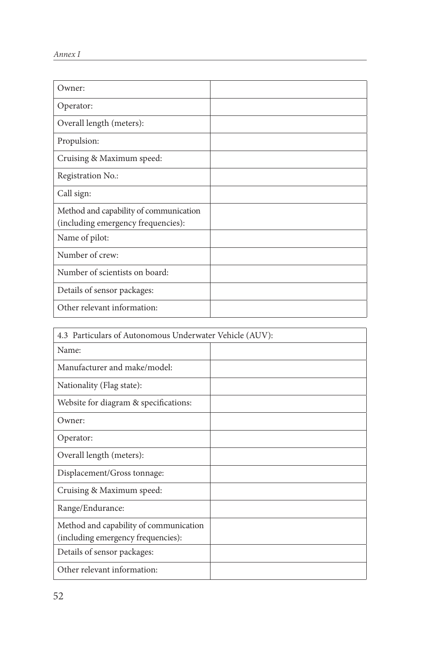| Owner:                                                                       |  |
|------------------------------------------------------------------------------|--|
| Operator:                                                                    |  |
| Overall length (meters):                                                     |  |
| Propulsion:                                                                  |  |
| Cruising & Maximum speed:                                                    |  |
| Registration No.:                                                            |  |
| Call sign:                                                                   |  |
| Method and capability of communication<br>(including emergency frequencies): |  |
| Name of pilot:                                                               |  |
| Number of crew:                                                              |  |
| Number of scientists on board:                                               |  |
| Details of sensor packages:                                                  |  |
| Other relevant information:                                                  |  |

| 4.3 Particulars of Autonomous Underwater Vehicle (AUV):                      |  |
|------------------------------------------------------------------------------|--|
| Name:                                                                        |  |
| Manufacturer and make/model:                                                 |  |
| Nationality (Flag state):                                                    |  |
| Website for diagram & specifications:                                        |  |
| Owner:                                                                       |  |
| Operator:                                                                    |  |
| Overall length (meters):                                                     |  |
| Displacement/Gross tonnage:                                                  |  |
| Cruising & Maximum speed:                                                    |  |
| Range/Endurance:                                                             |  |
| Method and capability of communication<br>(including emergency frequencies): |  |
| Details of sensor packages:                                                  |  |
| Other relevant information:                                                  |  |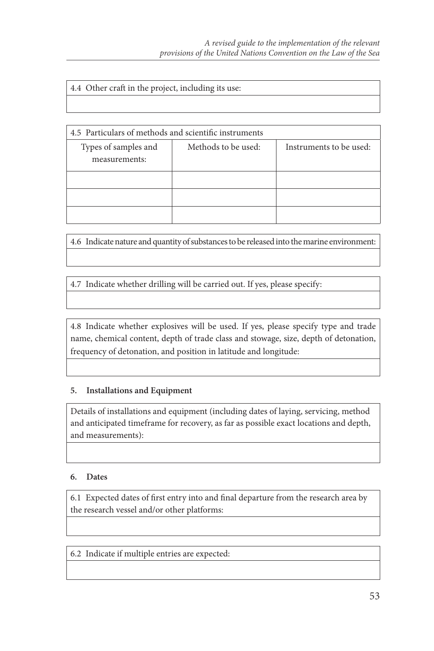4.4 Other craft in the project, including its use:

| 4.5 Particulars of methods and scientific instruments |                     |                         |
|-------------------------------------------------------|---------------------|-------------------------|
| Types of samples and<br>measurements:                 | Methods to be used: | Instruments to be used: |
|                                                       |                     |                         |
|                                                       |                     |                         |
|                                                       |                     |                         |

4.6 Indicate nature and quantity of substances to be released into the marine environment:

4.7 Indicate whether drilling will be carried out. If yes, please specify:

4.8 Indicate whether explosives will be used. If yes, please specify type and trade name, chemical content, depth of trade class and stowage, size, depth of detonation, frequency of detonation, and position in latitude and longitude:

#### **5. Installations and Equipment**

Details of installations and equipment (including dates of laying, servicing, method and anticipated timeframe for recovery, as far as possible exact locations and depth, and measurements):

#### **6. Dates**

6.1 Expected dates of first entry into and final departure from the research area by the research vessel and/or other platforms:

6.2 Indicate if multiple entries are expected: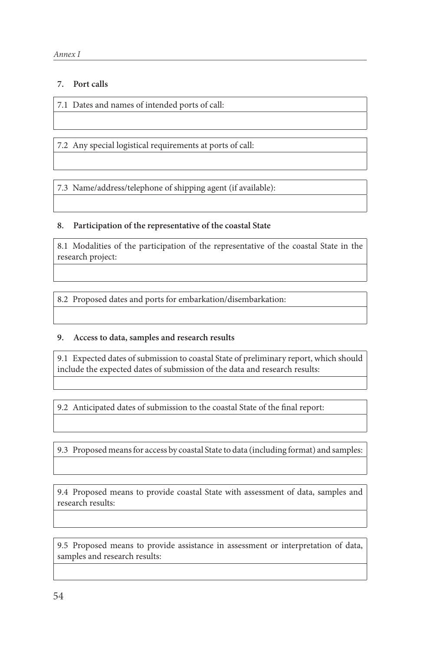#### **7. Port calls**

7.1 Dates and names of intended ports of call:

7.2 Any special logistical requirements at ports of call:

7.3 Name/address/telephone of shipping agent (if available):

#### **8. Participation of the representative of the coastal State**

8.1 Modalities of the participation of the representative of the coastal State in the research project:

8.2 Proposed dates and ports for embarkation/disembarkation:

#### **9. Access to data, samples and research results**

9.1 Expected dates of submission to coastal State of preliminary report, which should include the expected dates of submission of the data and research results:

9.2 Anticipated dates of submission to the coastal State of the final report:

9.3 Proposed means for access by coastal State to data (including format) and samples:

9.4 Proposed means to provide coastal State with assessment of data, samples and research results:

9.5 Proposed means to provide assistance in assessment or interpretation of data, samples and research results: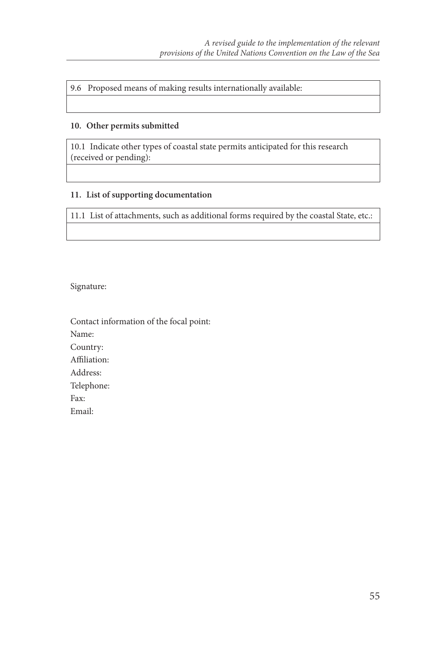#### 9.6 Proposed means of making results internationally available:

#### **10. Other permits submitted**

10.1 Indicate other types of coastal state permits anticipated for this research (received or pending):

#### **11. List of supporting documentation**

11.1 List of attachments, such as additional forms required by the coastal State, etc.:

Signature:

Contact information of the focal point: Name: Country: Affiliation: Address: Telephone: Fax: Email: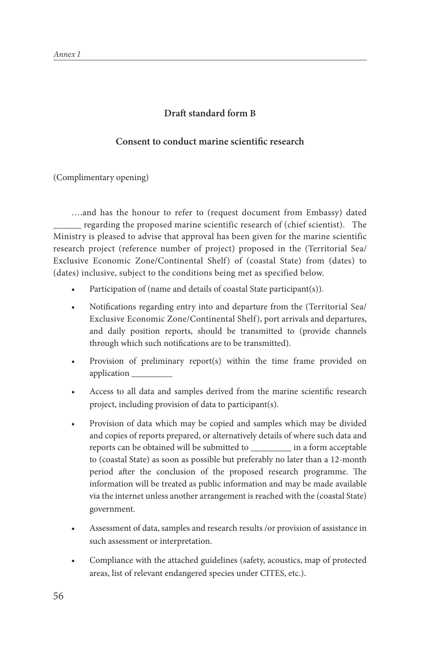## **Draft standard form B**

#### **Consent to conduct marine scientific research**

(Complimentary opening)

….and has the honour to refer to (request document from Embassy) dated regarding the proposed marine scientific research of (chief scientist). The Ministry is pleased to advise that approval has been given for the marine scientific research project (reference number of project) proposed in the (Territorial Sea/ Exclusive Economic Zone/Continental Shelf) of (coastal State) from (dates) to (dates) inclusive, subject to the conditions being met as specified below.

- Participation of (name and details of coastal State participant(s)).
- Notifications regarding entry into and departure from the (Territorial Sea/ Exclusive Economic Zone/Continental Shelf), port arrivals and departures, and daily position reports, should be transmitted to (provide channels through which such notifications are to be transmitted).
- Provision of preliminary report(s) within the time frame provided on application \_\_\_\_\_\_\_\_\_
- Access to all data and samples derived from the marine scientific research project, including provision of data to participant(s).
- Provision of data which may be copied and samples which may be divided and copies of reports prepared, or alternatively details of where such data and reports can be obtained will be submitted to \_\_\_\_\_\_\_\_\_ in a form acceptable to (coastal State) as soon as possible but preferably no later than a 12-month period after the conclusion of the proposed research programme. The information will be treated as public information and may be made available via the internet unless another arrangement is reached with the (coastal State) government.
- Assessment of data, samples and research results /or provision of assistance in such assessment or interpretation.
- Compliance with the attached guidelines (safety, acoustics, map of protected areas, list of relevant endangered species under CITES, etc.).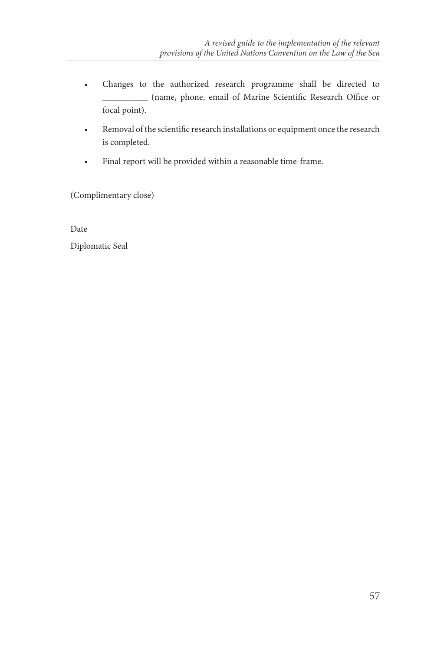- Changes to the authorized research programme shall be directed to \_\_\_\_\_\_\_\_\_\_ (name, phone, email of Marine Scientific Research Office or focal point).
- Removal of the scientific research installations or equipment once the research is completed.
- Final report will be provided within a reasonable time-frame.

(Complimentary close)

Date

Diplomatic Seal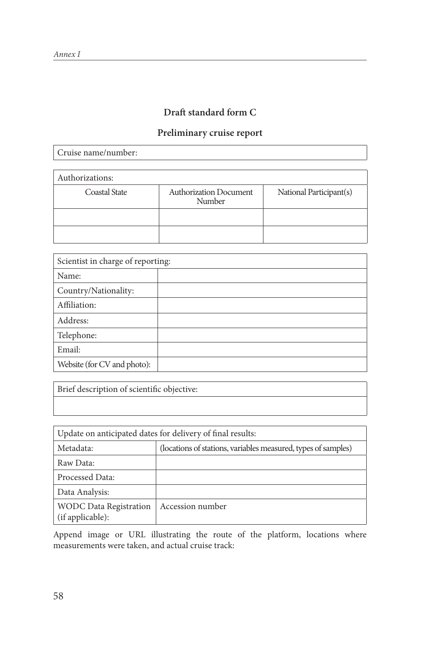## **Draft standard form C**

## **Preliminary cruise report**

|  | Cruise name/number: |
|--|---------------------|
|--|---------------------|

| Authorizations:      |                                         |                         |
|----------------------|-----------------------------------------|-------------------------|
| <b>Coastal State</b> | <b>Authorization Document</b><br>Number | National Participant(s) |
|                      |                                         |                         |
|                      |                                         |                         |

| Scientist in charge of reporting: |  |
|-----------------------------------|--|
| Name:                             |  |
| Country/Nationality:              |  |
| Affiliation:                      |  |
| Address:                          |  |
| Telephone:                        |  |
| Email:                            |  |
| Website (for CV and photo):       |  |

Brief description of scientific objective:

| Update on anticipated dates for delivery of final results: |                                                               |
|------------------------------------------------------------|---------------------------------------------------------------|
| Metadata:                                                  | (locations of stations, variables measured, types of samples) |
| Raw Data:                                                  |                                                               |
| Processed Data:                                            |                                                               |
| Data Analysis:                                             |                                                               |
| <b>WODC Data Registration</b><br>(if applicable):          | Accession number                                              |

Append image or URL illustrating the route of the platform, locations where measurements were taken, and actual cruise track: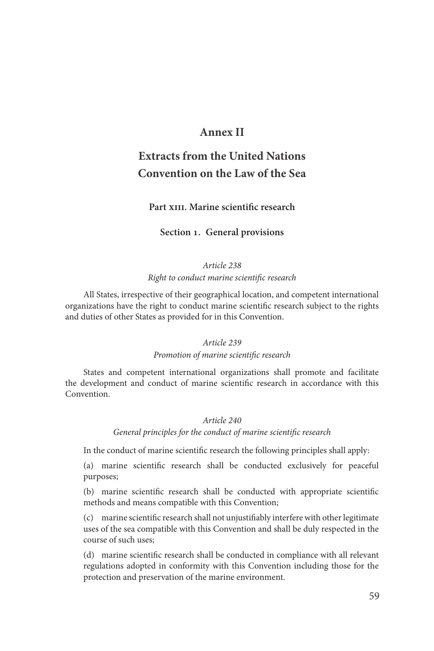## **Annex II**

# **Extracts from the United Nations Convention on the Law of the Sea**

#### **Part xiii. Marine scientific research**

#### **Section 1. General provisions**

#### *Article 238*

#### *Right to conduct marine scientific research*

All States, irrespective of their geographical location, and competent international organizations have the right to conduct marine scientific research subject to the rights and duties of other States as provided for in this Convention.

#### *Article 239*

#### *Promotion of marine scientific research*

States and competent international organizations shall promote and facilitate the development and conduct of marine scientific research in accordance with this Convention.

#### *Article 240*

#### *General principles for the conduct of marine scientific research*

In the conduct of marine scientific research the following principles shall apply:

(a) marine scientific research shall be conducted exclusively for peaceful purposes;

(b) marine scientific research shall be conducted with appropriate scientific methods and means compatible with this Convention;

(c) marine scientific research shall not unjustifiably interfere with other legitimate uses of the sea compatible with this Convention and shall be duly respected in the course of such uses;

(d) marine scientific research shall be conducted in compliance with all relevant regulations adopted in conformity with this Convention including those for the protection and preservation of the marine environment.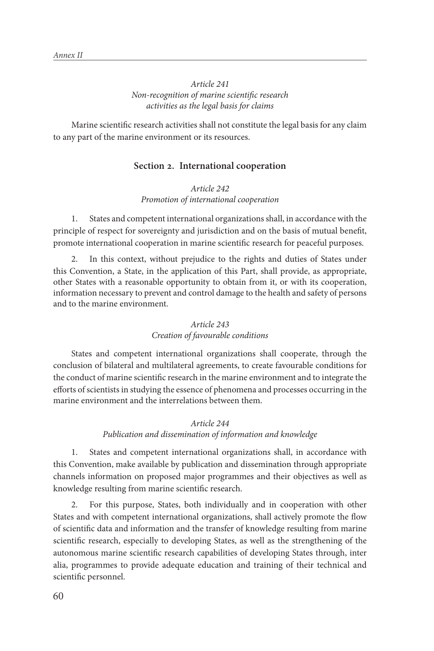*Article 241 Non-recognition of marine scientific research activities as the legal basis for claims*

Marine scientific research activities shall not constitute the legal basis for any claim to any part of the marine environment or its resources.

#### **Section 2. International cooperation**

#### *Article 242 Promotion of international cooperation*

1. States and competent international organizations shall, in accordance with the principle of respect for sovereignty and jurisdiction and on the basis of mutual benefit, promote international cooperation in marine scientific research for peaceful purposes.

2. In this context, without prejudice to the rights and duties of States under this Convention, a State, in the application of this Part, shall provide, as appropriate, other States with a reasonable opportunity to obtain from it, or with its cooperation, information necessary to prevent and control damage to the health and safety of persons and to the marine environment.

#### *Article 243 Creation of favourable conditions*

States and competent international organizations shall cooperate, through the conclusion of bilateral and multilateral agreements, to create favourable conditions for the conduct of marine scientific research in the marine environment and to integrate the efforts of scientists in studying the essence of phenomena and processes occurring in the marine environment and the interrelations between them.

#### *Article 244 Publication and dissemination of information and knowledge*

1. States and competent international organizations shall, in accordance with this Convention, make available by publication and dissemination through appropriate channels information on proposed major programmes and their objectives as well as knowledge resulting from marine scientific research.

2. For this purpose, States, both individually and in cooperation with other States and with competent international organizations, shall actively promote the flow of scientific data and information and the transfer of knowledge resulting from marine scientific research, especially to developing States, as well as the strengthening of the autonomous marine scientific research capabilities of developing States through, inter alia, programmes to provide adequate education and training of their technical and scientific personnel.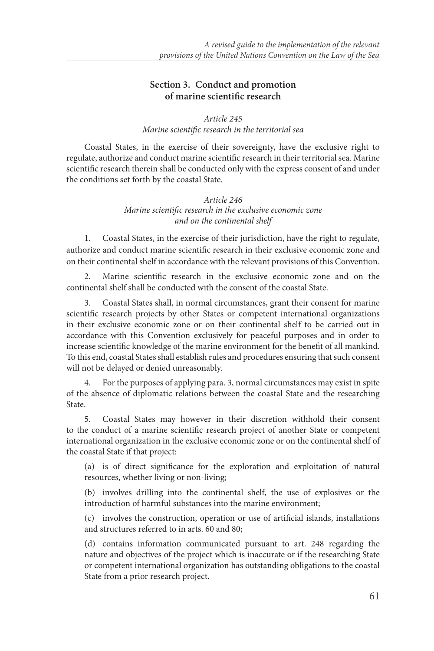## **Section 3. Conduct and promotion of marine scientific research**

#### *Article 245 Marine scientific research in the territorial sea*

Coastal States, in the exercise of their sovereignty, have the exclusive right to regulate, authorize and conduct marine scientific research in their territorial sea. Marine scientific research therein shall be conducted only with the express consent of and under the conditions set forth by the coastal State.

#### *Article 246 Marine scientific research in the exclusive economic zone and on the continental shelf*

1. Coastal States, in the exercise of their jurisdiction, have the right to regulate, authorize and conduct marine scientific research in their exclusive economic zone and on their continental shelf in accordance with the relevant provisions of this Convention.

2. Marine scientific research in the exclusive economic zone and on the continental shelf shall be conducted with the consent of the coastal State.

3. Coastal States shall, in normal circumstances, grant their consent for marine scientific research projects by other States or competent international organizations in their exclusive economic zone or on their continental shelf to be carried out in accordance with this Convention exclusively for peaceful purposes and in order to increase scientific knowledge of the marine environment for the benefit of all mankind. To this end, coastal States shall establish rules and procedures ensuring that such consent will not be delayed or denied unreasonably.

4. For the purposes of applying para. 3, normal circumstances may exist in spite of the absence of diplomatic relations between the coastal State and the researching State.

5. Coastal States may however in their discretion withhold their consent to the conduct of a marine scientific research project of another State or competent international organization in the exclusive economic zone or on the continental shelf of the coastal State if that project:

(a) is of direct significance for the exploration and exploitation of natural resources, whether living or non-living;

(b) involves drilling into the continental shelf, the use of explosives or the introduction of harmful substances into the marine environment;

(c) involves the construction, operation or use of artificial islands, installations and structures referred to in arts. 60 and 80;

(d) contains information communicated pursuant to art. 248 regarding the nature and objectives of the project which is inaccurate or if the researching State or competent international organization has outstanding obligations to the coastal State from a prior research project.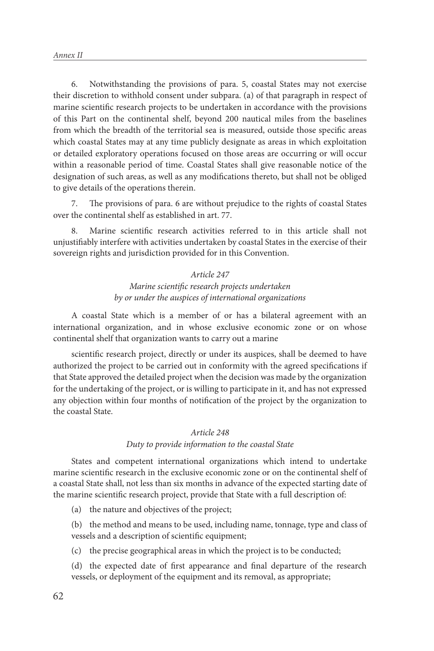6. Notwithstanding the provisions of para. 5, coastal States may not exercise their discretion to withhold consent under subpara. (a) of that paragraph in respect of marine scientific research projects to be undertaken in accordance with the provisions of this Part on the continental shelf, beyond 200 nautical miles from the baselines from which the breadth of the territorial sea is measured, outside those specific areas which coastal States may at any time publicly designate as areas in which exploitation or detailed exploratory operations focused on those areas are occurring or will occur within a reasonable period of time. Coastal States shall give reasonable notice of the designation of such areas, as well as any modifications thereto, but shall not be obliged to give details of the operations therein.

7. The provisions of para. 6 are without prejudice to the rights of coastal States over the continental shelf as established in art. 77.

Marine scientific research activities referred to in this article shall not unjustifiably interfere with activities undertaken by coastal States in the exercise of their sovereign rights and jurisdiction provided for in this Convention.

#### *Article 247*

#### *Marine scientific research projects undertaken by or under the auspices of international organizations*

A coastal State which is a member of or has a bilateral agreement with an international organization, and in whose exclusive economic zone or on whose continental shelf that organization wants to carry out a marine

scientific research project, directly or under its auspices, shall be deemed to have authorized the project to be carried out in conformity with the agreed specifications if that State approved the detailed project when the decision was made by the organization for the undertaking of the project, or is willing to participate in it, and has not expressed any objection within four months of notification of the project by the organization to the coastal State.

#### *Article 248*

#### *Duty to provide information to the coastal State*

States and competent international organizations which intend to undertake marine scientific research in the exclusive economic zone or on the continental shelf of a coastal State shall, not less than six months in advance of the expected starting date of the marine scientific research project, provide that State with a full description of:

(a) the nature and objectives of the project;

(b) the method and means to be used, including name, tonnage, type and class of vessels and a description of scientific equipment;

(c) the precise geographical areas in which the project is to be conducted;

(d) the expected date of first appearance and final departure of the research vessels, or deployment of the equipment and its removal, as appropriate;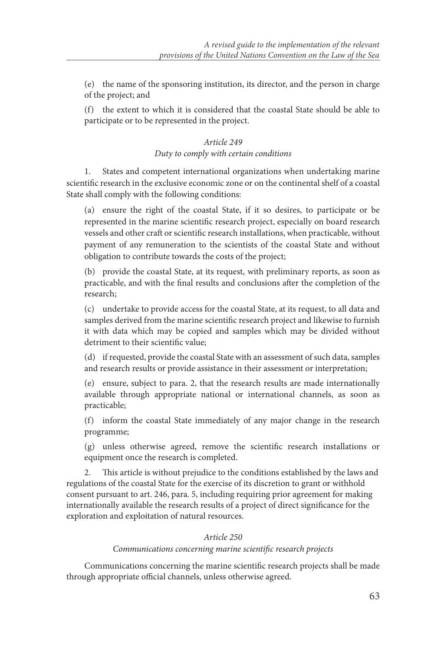(e) the name of the sponsoring institution, its director, and the person in charge of the project; and

(f) the extent to which it is considered that the coastal State should be able to participate or to be represented in the project.

# *Article 249*

#### *Duty to comply with certain conditions*

1. States and competent international organizations when undertaking marine scientific research in the exclusive economic zone or on the continental shelf of a coastal State shall comply with the following conditions:

(a) ensure the right of the coastal State, if it so desires, to participate or be represented in the marine scientific research project, especially on board research vessels and other craft or scientific research installations, when practicable, without payment of any remuneration to the scientists of the coastal State and without obligation to contribute towards the costs of the project;

(b) provide the coastal State, at its request, with preliminary reports, as soon as practicable, and with the final results and conclusions after the completion of the research;

(c) undertake to provide access for the coastal State, at its request, to all data and samples derived from the marine scientific research project and likewise to furnish it with data which may be copied and samples which may be divided without detriment to their scientific value;

(d) if requested, provide the coastal State with an assessment of such data, samples and research results or provide assistance in their assessment or interpretation;

(e) ensure, subject to para. 2, that the research results are made internationally available through appropriate national or international channels, as soon as practicable;

(f) inform the coastal State immediately of any major change in the research programme;

(g) unless otherwise agreed, remove the scientific research installations or equipment once the research is completed.

2. This article is without prejudice to the conditions established by the laws and regulations of the coastal State for the exercise of its discretion to grant or withhold consent pursuant to art. 246, para. 5, including requiring prior agreement for making internationally available the research results of a project of direct significance for the exploration and exploitation of natural resources.

#### *Article 250*

#### *Communications concerning marine scientific research projects*

Communications concerning the marine scientific research projects shall be made through appropriate official channels, unless otherwise agreed.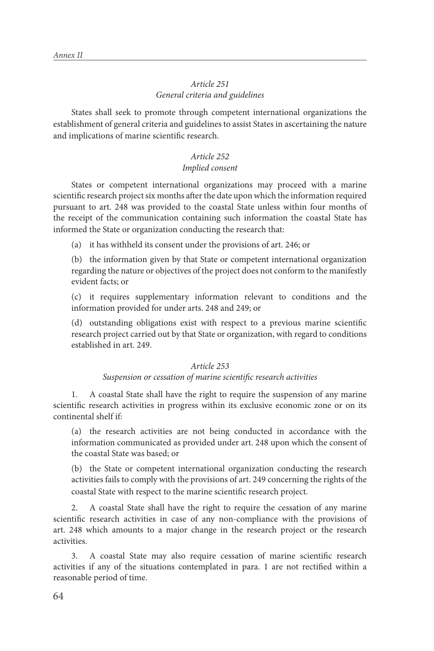# *Article 251 General criteria and guidelines*

States shall seek to promote through competent international organizations the establishment of general criteria and guidelines to assist States in ascertaining the nature and implications of marine scientific research.

# *Article 252 Implied consent*

States or competent international organizations may proceed with a marine scientific research project six months after the date upon which the information required pursuant to art. 248 was provided to the coastal State unless within four months of the receipt of the communication containing such information the coastal State has informed the State or organization conducting the research that:

(a) it has withheld its consent under the provisions of art. 246; or

(b) the information given by that State or competent international organization regarding the nature or objectives of the project does not conform to the manifestly evident facts; or

(c) it requires supplementary information relevant to conditions and the information provided for under arts. 248 and 249; or

(d) outstanding obligations exist with respect to a previous marine scientific research project carried out by that State or organization, with regard to conditions established in art. 249.

#### *Article 253*

#### *Suspension or cessation of marine scientific research activities*

1. A coastal State shall have the right to require the suspension of any marine scientific research activities in progress within its exclusive economic zone or on its continental shelf if:

(a) the research activities are not being conducted in accordance with the information communicated as provided under art. 248 upon which the consent of the coastal State was based; or

(b) the State or competent international organization conducting the research activities fails to comply with the provisions of art. 249 concerning the rights of the coastal State with respect to the marine scientific research project.

2. A coastal State shall have the right to require the cessation of any marine scientific research activities in case of any non-compliance with the provisions of art. 248 which amounts to a major change in the research project or the research activities.

3. A coastal State may also require cessation of marine scientific research activities if any of the situations contemplated in para. 1 are not rectified within a reasonable period of time.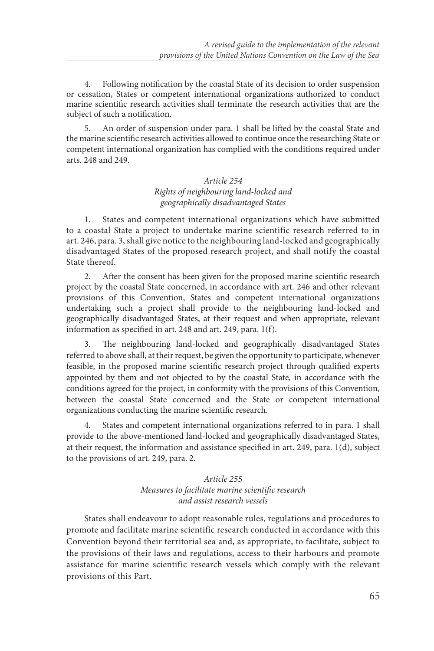4. Following notification by the coastal State of its decision to order suspension or cessation, States or competent international organizations authorized to conduct marine scientific research activities shall terminate the research activities that are the subject of such a notification.

5. An order of suspension under para. 1 shall be lifted by the coastal State and the marine scientific research activities allowed to continue once the researching State or competent international organization has complied with the conditions required under arts. 248 and 249.

# *Article 254 Rights of neighbouring land-locked and geographically disadvantaged States*

1. States and competent international organizations which have submitted to a coastal State a project to undertake marine scientific research referred to in art. 246, para. 3, shall give notice to the neighbouring land-locked and geographically disadvantaged States of the proposed research project, and shall notify the coastal State thereof.

2. After the consent has been given for the proposed marine scientific research project by the coastal State concerned, in accordance with art. 246 and other relevant provisions of this Convention, States and competent international organizations undertaking such a project shall provide to the neighbouring land-locked and geographically disadvantaged States, at their request and when appropriate, relevant information as specified in art. 248 and art. 249, para. 1(f).

The neighbouring land-locked and geographically disadvantaged States referred to above shall, at their request, be given the opportunity to participate, whenever feasible, in the proposed marine scientific research project through qualified experts appointed by them and not objected to by the coastal State, in accordance with the conditions agreed for the project, in conformity with the provisions of this Convention, between the coastal State concerned and the State or competent international organizations conducting the marine scientific research.

States and competent international organizations referred to in para. 1 shall provide to the above-mentioned land-locked and geographically disadvantaged States, at their request, the information and assistance specified in art. 249, para. 1(d), subject to the provisions of art. 249, para. 2.

# *Article 255 Measures to facilitate marine scientific research and assist research vessels*

States shall endeavour to adopt reasonable rules, regulations and procedures to promote and facilitate marine scientific research conducted in accordance with this Convention beyond their territorial sea and, as appropriate, to facilitate, subject to the provisions of their laws and regulations, access to their harbours and promote assistance for marine scientific research vessels which comply with the relevant provisions of this Part.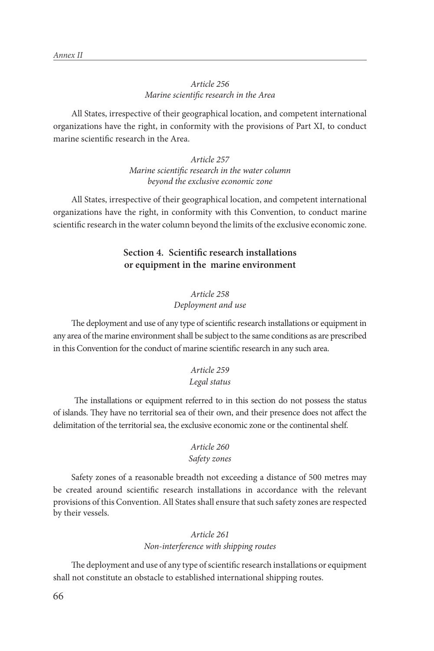# *Article 256 Marine scientific research in the Area*

All States, irrespective of their geographical location, and competent international organizations have the right, in conformity with the provisions of Part XI, to conduct marine scientific research in the Area.

> *Article 257 Marine scientific research in the water column beyond the exclusive economic zone*

All States, irrespective of their geographical location, and competent international organizations have the right, in conformity with this Convention, to conduct marine scientific research in the water column beyond the limits of the exclusive economic zone.

# **Section 4. Scientific research installations or equipment in the marine environment**

#### *Article 258 Deployment and use*

The deployment and use of any type of scientific research installations or equipment in any area of the marine environment shall be subject to the same conditions as are prescribed in this Convention for the conduct of marine scientific research in any such area.

# *Article 259 Legal status*

 The installations or equipment referred to in this section do not possess the status of islands. They have no territorial sea of their own, and their presence does not affect the delimitation of the territorial sea, the exclusive economic zone or the continental shelf.

# *Article 260 Safety zones*

Safety zones of a reasonable breadth not exceeding a distance of 500 metres may be created around scientific research installations in accordance with the relevant provisions of this Convention. All States shall ensure that such safety zones are respected by their vessels.

# *Article 261 Non-interference with shipping routes*

The deployment and use of any type of scientific research installations or equipment shall not constitute an obstacle to established international shipping routes.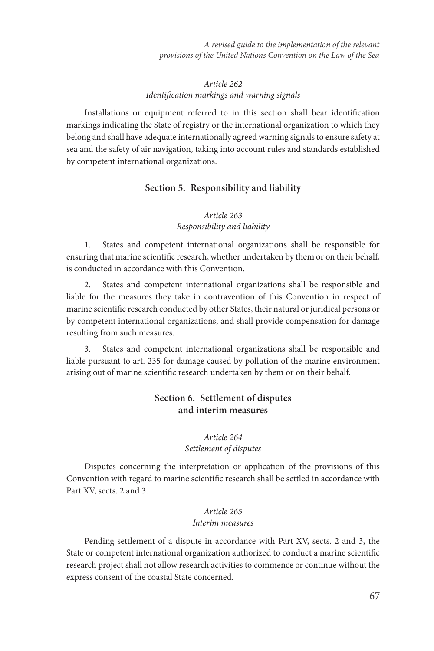# *Article 262 Identification markings and warning signals*

Installations or equipment referred to in this section shall bear identification markings indicating the State of registry or the international organization to which they belong and shall have adequate internationally agreed warning signals to ensure safety at sea and the safety of air navigation, taking into account rules and standards established by competent international organizations.

# **Section 5. Responsibility and liability**

# *Article 263 Responsibility and liability*

1. States and competent international organizations shall be responsible for ensuring that marine scientific research, whether undertaken by them or on their behalf, is conducted in accordance with this Convention.

2. States and competent international organizations shall be responsible and liable for the measures they take in contravention of this Convention in respect of marine scientific research conducted by other States, their natural or juridical persons or by competent international organizations, and shall provide compensation for damage resulting from such measures.

3. States and competent international organizations shall be responsible and liable pursuant to art. 235 for damage caused by pollution of the marine environment arising out of marine scientific research undertaken by them or on their behalf.

# **Section 6. Settlement of disputes and interim measures**

#### *Article 264 Settlement of disputes*

Disputes concerning the interpretation or application of the provisions of this Convention with regard to marine scientific research shall be settled in accordance with Part XV, sects. 2 and 3.

# *Article 265 Interim measures*

Pending settlement of a dispute in accordance with Part XV, sects. 2 and 3, the State or competent international organization authorized to conduct a marine scientific research project shall not allow research activities to commence or continue without the express consent of the coastal State concerned.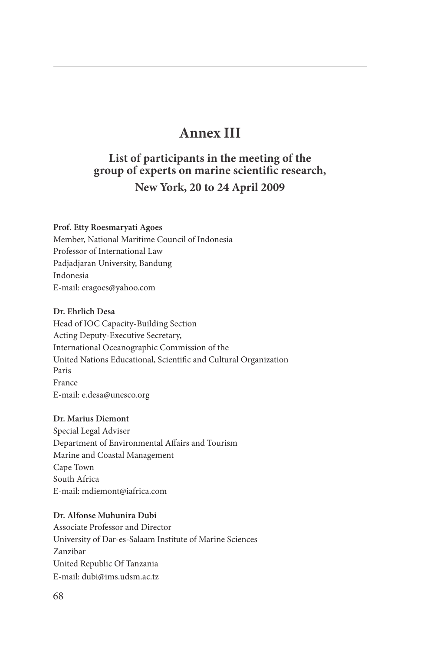# **Annex III**

# **List of participants in the meeting of the group of experts on marine scientific research,**

**New York, 20 to 24 April 2009**

#### **Prof. Etty Roesmaryati Agoes**

Member, National Maritime Council of Indonesia Professor of International Law Padjadjaran University, Bandung Indonesia E-mail: eragoes@yahoo.com

#### **Dr. Ehrlich Desa**

Head of IOC Capacity-Building Section Acting Deputy-Executive Secretary, International Oceanographic Commission of the United Nations Educational, Scientific and Cultural Organization Paris France E-mail: e.desa@unesco.org

# **Dr. Marius Diemont**

Special Legal Adviser Department of Environmental Affairs and Tourism Marine and Coastal Management Cape Town South Africa E-mail: mdiemont@iafrica.com

# **Dr. Alfonse Muhunira Dubi**

Associate Professor and Director University of Dar-es-Salaam Institute of Marine Sciences Zanzibar United Republic Of Tanzania E-mail: dubi@ims.udsm.ac.tz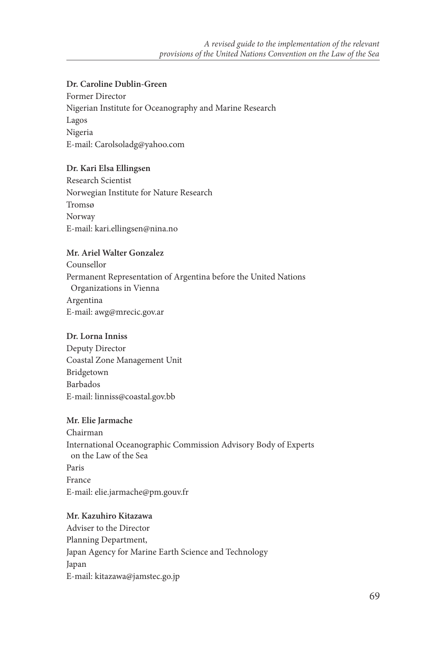#### **Dr. Caroline Dublin-Green**

Former Director Nigerian Institute for Oceanography and Marine Research Lagos Nigeria E-mail: Carolsoladg@yahoo.com

#### **Dr. Kari Elsa Ellingsen**

Research Scientist Norwegian Institute for Nature Research Tromsø Norway E-mail: kari.ellingsen@nina.no

# **Mr. Ariel Walter Gonzalez**

Counsellor Permanent Representation of Argentina before the United Nations Organizations in Vienna Argentina E-mail: awg@mrecic.gov.ar

#### **Dr. Lorna Inniss**

Deputy Director Coastal Zone Management Unit Bridgetown Barbados E-mail: linniss@coastal.gov.bb

#### **Mr. Elie Jarmache**

Chairman International Oceanographic Commission Advisory Body of Experts on the Law of the Sea Paris France E-mail: elie.jarmache@pm.gouv.fr

#### **Mr. Kazuhiro Kitazawa**

Adviser to the Director Planning Department, Japan Agency for Marine Earth Science and Technology Japan E-mail: kitazawa@jamstec.go.jp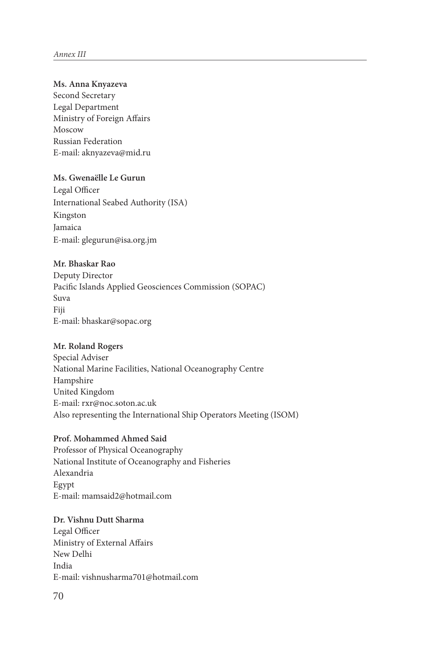#### **Ms. Anna Knyazeva**

Second Secretary Legal Department Ministry of Foreign Affairs Moscow Russian Federation E-mail: aknyazeva@mid.ru

#### **Ms. Gwenaëlle Le Gurun**

Legal Officer International Seabed Authority (ISA) Kingston Jamaica E-mail: glegurun@isa.org.jm

# **Mr. Bhaskar Rao**

Deputy Director Pacific Islands Applied Geosciences Commission (SOPAC) Suva Fiji E-mail: bhaskar@sopac.org

#### **Mr. Roland Rogers**

Special Adviser National Marine Facilities, National Oceanography Centre Hampshire United Kingdom E-mail: rxr@noc.soton.ac.uk Also representing the International Ship Operators Meeting (ISOM)

# **Prof. Mohammed Ahmed Said**

Professor of Physical Oceanography National Institute of Oceanography and Fisheries Alexandria Egypt E-mail: mamsaid2@hotmail.com

# **Dr. Vishnu Dutt Sharma**

Legal Officer Ministry of External Affairs New Delhi India E-mail: vishnusharma701@hotmail.com